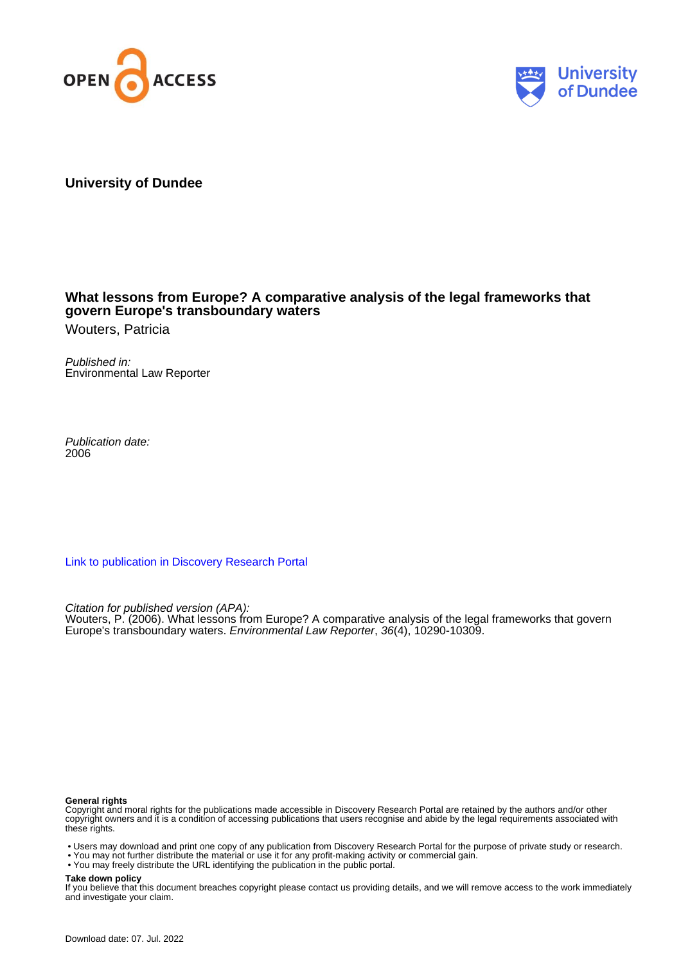



# **University of Dundee**

# **What lessons from Europe? A comparative analysis of the legal frameworks that govern Europe's transboundary waters**

Wouters, Patricia

Published in: Environmental Law Reporter

Publication date: 2006

[Link to publication in Discovery Research Portal](https://discovery.dundee.ac.uk/en/publications/2804e445-46b4-4f6c-b7b7-f71488e5ba0b)

Citation for published version (APA): Wouters, P. (2006). What lessons from Europe? A comparative analysis of the legal frameworks that govern Europe's transboundary waters. Environmental Law Reporter, 36(4), 10290-10309.

#### **General rights**

Copyright and moral rights for the publications made accessible in Discovery Research Portal are retained by the authors and/or other copyright owners and it is a condition of accessing publications that users recognise and abide by the legal requirements associated with these rights.

• Users may download and print one copy of any publication from Discovery Research Portal for the purpose of private study or research.

• You may not further distribute the material or use it for any profit-making activity or commercial gain.

• You may freely distribute the URL identifying the publication in the public portal.

#### **Take down policy**

If you believe that this document breaches copyright please contact us providing details, and we will remove access to the work immediately and investigate your claim.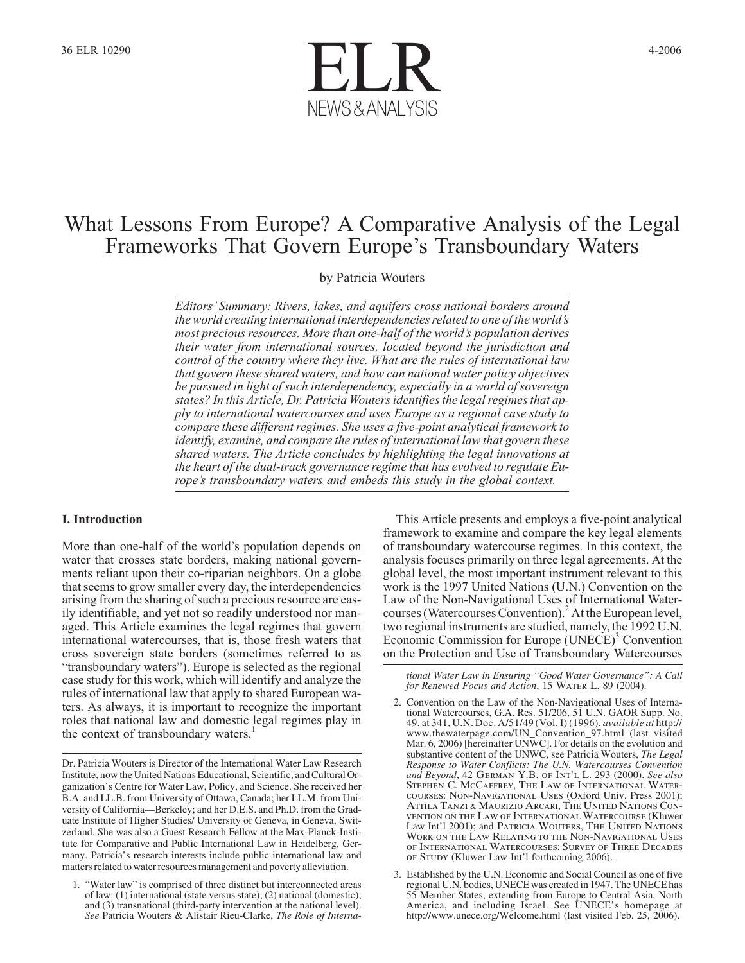

# What Lessons From Europe? A Comparative Analysis of the Legal Frameworks That Govern Europe's Transboundary Waters

by Patricia Wouters

*Editors' Summary: Rivers, lakes, and aquifers cross national borders around the world creating international interdependencies related to one of the world's most precious resources. More than one-half of the world's population derives their water from international sources, located beyond the jurisdiction and control of the country where they live. What are the rules of international law that govern these shared waters, and how can national water policy objectives be pursued in light of such interdependency, especially in a world of sovereign states? In this Article, Dr. Patricia Wouters identifies the legal regimes that apply to international watercourses and uses Europe as a regional case study to compare these different regimes. She uses a five-point analytical framework to identify, examine, and compare the rules of international law that govern these shared waters. The Article concludes by highlighting the legal innovations at the heart of the dual-track governance regime that has evolved to regulate Europe's transboundary waters and embeds this study in the global context.*

### **I. Introduction**

More than one-half of the world's population depends on water that crosses state borders, making national governments reliant upon their co-riparian neighbors. On a globe that seems to grow smaller every day, the interdependencies arising from the sharing of such a precious resource are easily identifiable, and yet not so readily understood nor managed. This Article examines the legal regimes that govern international watercourses, that is, those fresh waters that cross sovereign state borders (sometimes referred to as "transboundary waters"). Europe is selected as the regional case study for this work, which will identify and analyze the rules of international law that apply to shared European waters. As always, it is important to recognize the important roles that national law and domestic legal regimes play in the context of transboundary waters.<sup>1</sup>

This Article presents and employs a five-point analytical framework to examine and compare the key legal elements of transboundary watercourse regimes. In this context, the analysis focuses primarily on three legal agreements. At the global level, the most important instrument relevant to this work is the 1997 United Nations (U.N.) Convention on the Law of the Non-Navigational Uses of International Watercourses (Watercourses Convention).<sup>2</sup> At the European level, two regional instruments are studied, namely, the 1992 U.N. Economic Commission for Europe (UNECE)<sup>3</sup> Convention on the Protection and Use of Transboundary Watercourses

*tional Water Law in Ensuring "Good Water Governance": A Call for Renewed Focus and Action*, 15 *Water L.* 89 (2004).

- 2. Convention on the Law of the Non-Navigational Uses of International Watercourses, G.A. Res. 51/206, 51 U.N. GAOR Supp. No. 49, at 341, U.N. Doc. A/51/49 (Vol. I) (1996), *available at* http:// www.thewaterpage.com/UN\_Convention\_97.html (last visited Mar. 6, 2006) [hereinafter UNWC]. For details on the evolution and substantive content of the UNWC, see Patricia Wouters, *The Legal Response to Water Conflicts: The U.N. Watercourses Convention and Beyond*, 42 *German Y.B. of Int'l L.* 293 (2000). *See also Stephen C. McCaffrey, The Law of International Watercourses: Non-Navigational Uses* (Oxford Univ. Press 2001); *Attila Tanzi & Maurizio Arcari, The United Nations Convention on the Law of International Watercourse* (Kluwer Law Int'l 2001); and *Patricia Wouters, The United Nations Work on the Law Relating to the Non-Navigational Uses of International Watercourses: Survey of Three Decades of Study* (Kluwer Law Int'l forthcoming 2006).
- 3. Established by the U.N. Economic and Social Council as one of five regional U.N. bodies, UNECE was created in 1947. The UNECE has 55 Member States, extending from Europe to Central Asia, North America, and including Israel. See UNECE's homepage at http://www.unece.org/Welcome.html (last visited Feb. 25, 2006).

Dr. Patricia Wouters is Director of the International Water Law Research Institute, now the United Nations Educational, Scientific, and Cultural Organization's Centre for Water Law, Policy, and Science. She received her B.A. and LL.B. from University of Ottawa, Canada; her LL.M. from University of California—Berkeley; and her D.E.S. and Ph.D. from the Graduate Institute of Higher Studies/ University of Geneva, in Geneva, Switzerland. She was also a Guest Research Fellow at the Max-Planck-Institute for Comparative and Public International Law in Heidelberg, Germany. Patricia's research interests include public international law and matters related to water resources management and poverty alleviation.

<sup>&</sup>quot;Water law" is comprised of three distinct but interconnected areas of law: (1) international (state versus state); (2) national (domestic); and (3) transnational (third-party intervention at the national level). *See* Patricia Wouters & Alistair Rieu-Clarke, *The Role of Interna-*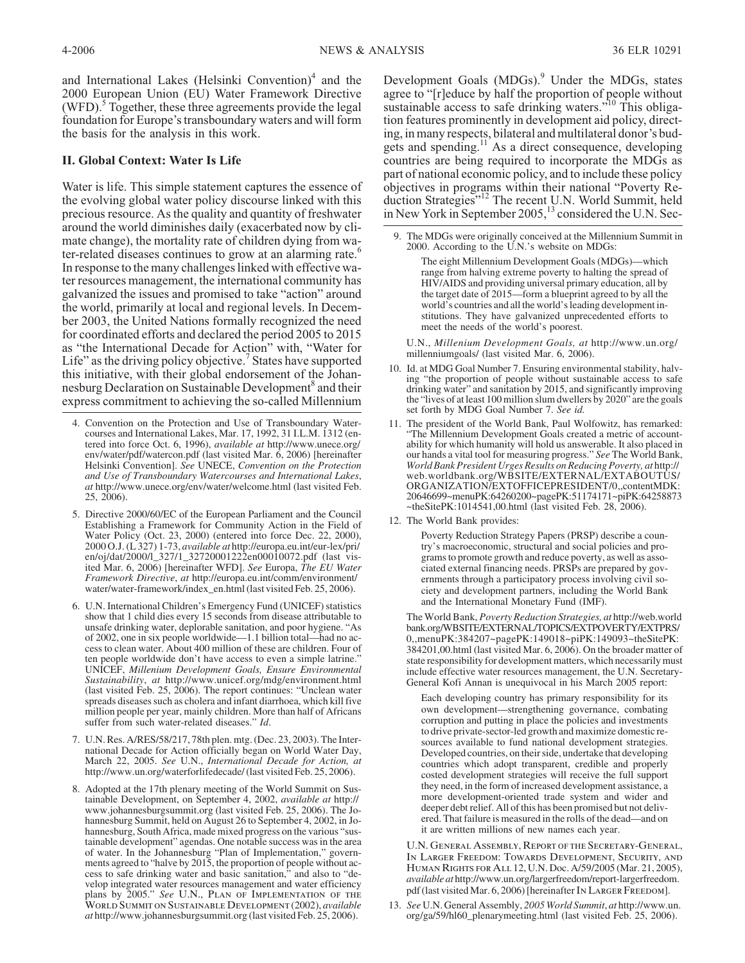and International Lakes (Helsinki Convention) $<sup>4</sup>$  and the</sup> 2000 European Union (EU) Water Framework Directive (WFD). $5$  Together, these three agreements provide the legal foundation for Europe's transboundary waters and will form the basis for the analysis in this work.

# **II. Global Context: Water Is Life**

Water is life. This simple statement captures the essence of the evolving global water policy discourse linked with this precious resource. As the quality and quantity of freshwater around the world diminishes daily (exacerbated now by climate change), the mortality rate of children dying from water-related diseases continues to grow at an alarming rate.<sup>6</sup> In response to the many challenges linked with effective water resources management, the international community has galvanized the issues and promised to take "action" around the world, primarily at local and regional levels. In December 2003, the United Nations formally recognized the need for coordinated efforts and declared the period 2005 to 2015 as "the International Decade for Action" with, "Water for Life" as the driving policy objective.<sup>7</sup> States have supported this initiative, with their global endorsement of the Johannesburg Declaration on Sustainable Development<sup>8</sup> and their express commitment to achieving the so-called Millennium

- 4. Convention on the Protection and Use of Transboundary Watercourses and International Lakes, Mar. 17, 1992, 31 I.L.M. 1312 (entered into force Oct. 6, 1996), *available at* http://www.unece.org/ env/water/pdf/watercon.pdf (last visited Mar. 6, 2006) [hereinafter Helsinki Convention]. *See* UNECE, *Convention on the Protection and Use of Transboundary Watercourses and International Lakes*, *at* http://www.unece.org/env/water/welcome.html (last visited Feb. 25, 2006).
- 5. Directive 2000/60/EC of the European Parliament and the Council Establishing a Framework for Community Action in the Field of Water Policy (Oct. 23, 2000) (entered into force Dec. 22, 2000), 2000 O.J. (L 327) 1-73, *available at* http://europa.eu.int/eur-lex/pri/ en/oj/dat/2000/l\_327/1\_32720001222en00010072.pdf (last visited Mar. 6, 2006) [hereinafter WFD]. *See* Europa, *The EU Water Framework Directive*, *at* http://europa.eu.int/comm/environment/ water/water-framework/index\_en.html (last visited Feb. 25, 2006).
- 6. U.N. International Children's Emergency Fund (UNICEF) statistics show that 1 child dies every 15 seconds from disease attributable to unsafe drinking water, deplorable sanitation, and poor hygiene. "As of 2002, one in six people worldwide—1.1 billion total—had no access to clean water. About 400 million of these are children. Four of ten people worldwide don't have access to even a simple latrine.' UNICEF, *Millenium Development Goals, Ensure Environmental Sustainability*, *at* http://www.unicef.org/mdg/environment.html (last visited Feb. 25, 2006). The report continues: "Unclean water spreads diseases such as cholera and infant diarrhoea, which kill five million people per year, mainly children. More than half of Africans suffer from such water-related diseases." *Id*.
- 7. U.N. Res. A/RES/58/217, 78th plen. mtg. (Dec. 23, 2003). The International Decade for Action officially began on World Water Day, March 22, 2005. *See* U.N., *International Decade for Action, at* http://www.un.org/waterforlifedecade/ (last visited Feb. 25, 2006).
- 8. Adopted at the 17th plenary meeting of the World Summit on Sustainable Development, on September 4, 2002, *available at* http:// www.johannesburgsummit.org (last visited Feb. 25, 2006). The Johannesburg Summit, held on August 26 to September 4, 2002, in Johannesburg, South Africa, made mixed progress on the various "sustainable development" agendas. One notable success was in the area of water. In the Johannesburg "Plan of Implementation," governments agreed to "halve by 2015, the proportion of people without access to safe drinking water and basic sanitation," and also to "develop integrated water resources management and water efficiency plans by 2005." *See U.N., Plan of Implementation of the World Summit on Sustainable Development* (2002), *available at* http://www.johannesburgsummit.org (last visited Feb. 25, 2006).

Development Goals (MDGs).<sup>9</sup> Under the MDGs, states agree to "[r]educe by half the proportion of people without sustainable access to safe drinking waters."<sup>10</sup> This obligation features prominently in development aid policy, directing, in many respects, bilateral and multilateral donor's budgets and spending.<sup>11</sup> As a direct consequence, developing countries are being required to incorporate the MDGs as part of national economic policy, and to include these policy objectives in programs within their national "Poverty Reduction Strategies"<sup>12</sup> The recent U.N. World Summit, held in New York in September 2005,<sup>13</sup> considered the U.N. Sec-

9. The MDGs were originally conceived at the Millennium Summit in 2000. According to the U.N.'s website on MDGs:

The eight Millennium Development Goals (MDGs)—which range from halving extreme poverty to halting the spread of HIV/AIDS and providing universal primary education, all by the target date of 2015—form a blueprint agreed to by all the world's countries and all the world's leading development institutions. They have galvanized unprecedented efforts to meet the needs of the world's poorest.

U.N., *Millenium Development Goals, at* http://www.un.org/ millenniumgoals/ (last visited Mar. 6, 2006).

- 10. Id. at MDG Goal Number 7. Ensuring environmental stability, halv- ing "the proportion of people without sustainable access to safe drinking water" and sanitation by 2015, and significantly improving the "lives of at least 100 million slum dwellers by 2020" are the goals set forth by MDG Goal Number 7. *See id.*
- 11. The president of the World Bank, Paul Wolfowitz, has remarked: "The Millennium Development Goals created a metric of accountability for which humanity will hold us answerable. It also placed in our hands a vital tool for measuring progress." *See* The World Bank, *World Bank President Urges Results on Reducing Poverty, at* http:// web.worldbank.org/WBSITE/EXTERNAL/EXTABOUTUS/ ORGANIZATION/EXTOFFICEPRESIDENT/0,,contentMDK: 20646699~menuPK:64260200~pagePK:51174171~piPK:64258873  $\sim$ theSitePK:1014541,00.html (last visited Feb. 28, 2006).
- 12. The World Bank provides:

Poverty Reduction Strategy Papers (PRSP) describe a country's macroeconomic, structural and social policies and programs to promote growth and reduce poverty, as well as associated external financing needs. PRSPs are prepared by governments through a participatory process involving civil society and development partners, including the World Bank and the International Monetary Fund (IMF).

TheWorld Bank, *Poverty Reduction Strategies, at* http://web.world bank.org/WBSITE/EXTERNAL/TOPICS/EXTPOVERTY/EXTPRS/ 0,,menuPK:384207~pagePK:149018~piPK:149093~theSitePK: 384201,00.html (last visited Mar. 6, 2006). On the broader matter of state responsibility for development matters, which necessarily must include effective water resources management, the U.N. Secretary-General Kofi Annan is unequivocal in his March 2005 report:

Each developing country has primary responsibility for its own development—strengthening governance, combating corruption and putting in place the policies and investments to drive private-sector-led growth and maximize domestic resources available to fund national development strategies. Developed countries, on their side, undertake that developing countries which adopt transparent, credible and properly costed development strategies will receive the full support they need, in the form of increased development assistance, a more development-oriented trade system and wider and deeper debt relief. All of this has been promised but not delivered. That failure is measured in the rolls of the dead—and on it are written millions of new names each year.

*U.N. General Assembly, Report of the Secretary-General, In Larger Freedom: Towards Development, Security, and Human Rights for All* 12, U.N. Doc. A/59/2005 (Mar. 21, 2005), *available at* http://www.un.org/largerfreedom/report-largerfreedom. pdf (last visited Mar. 6, 2006) [hereinafter In LARGER FREEDOM].

13. *See* U.N. General Assembly, *2005 World Summit*, *at* http://www.un. org/ga/59/hl60\_plenarymeeting.html (last visited Feb. 25, 2006).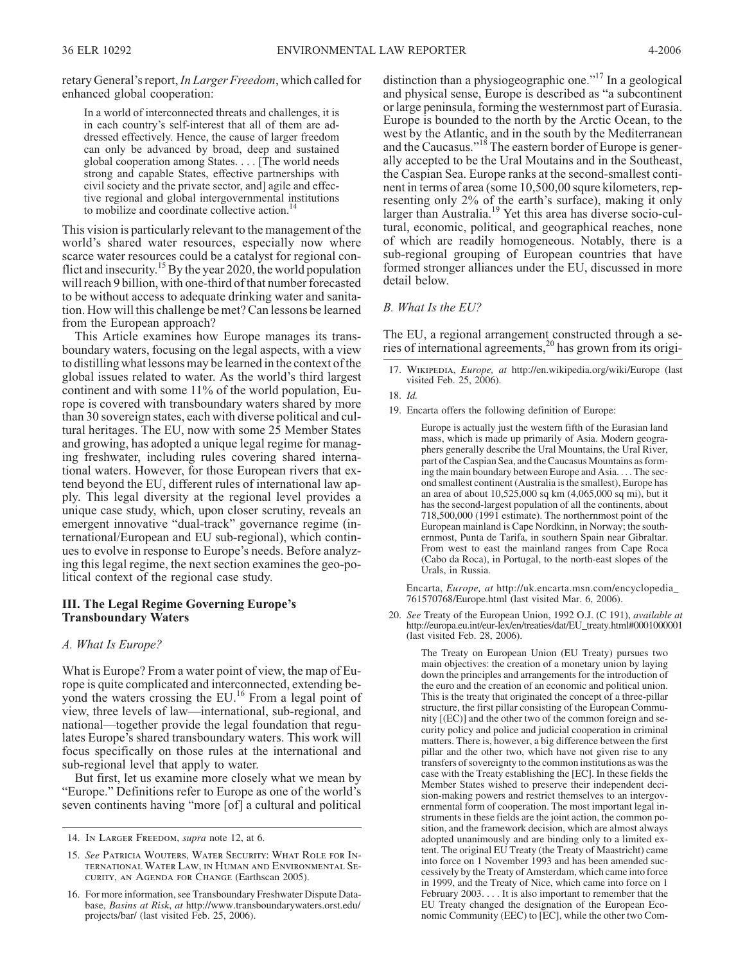retary General's report,*In Larger Freedom*, which called for enhanced global cooperation:

In a world of interconnected threats and challenges, it is in each country's self-interest that all of them are addressed effectively. Hence, the cause of larger freedom can only be advanced by broad, deep and sustained global cooperation among States. . . . [The world needs strong and capable States, effective partnerships with civil society and the private sector, and] agile and effective regional and global intergovernmental institutions to mobilize and coordinate collective action.<sup>14</sup>

This vision is particularly relevant to the management of the world's shared water resources, especially now where scarce water resources could be a catalyst for regional conflict and insecurity.<sup>15</sup> By the year 2020, the world population will reach 9 billion, with one-third of that number forecasted to be without access to adequate drinking water and sanitation. How will this challenge be met? Can lessons be learned from the European approach?

This Article examines how Europe manages its transboundary waters, focusing on the legal aspects, with a view to distilling what lessons may be learned in the context of the global issues related to water. As the world's third largest continent and with some 11% of the world population, Europe is covered with transboundary waters shared by more than 30 sovereign states, each with diverse political and cultural heritages. The EU, now with some 25 Member States and growing, has adopted a unique legal regime for managing freshwater, including rules covering shared international waters. However, for those European rivers that extend beyond the EU, different rules of international law apply. This legal diversity at the regional level provides a unique case study, which, upon closer scrutiny, reveals an emergent innovative "dual-track" governance regime (international/European and EU sub-regional), which continues to evolve in response to Europe's needs. Before analyzing this legal regime, the next section examines the geo-political context of the regional case study.

#### **III. The Legal Regime Governing Europe's Transboundary Waters**

#### *A. What Is Europe?*

What is Europe? From a water point of view, the map of Europe is quite complicated and interconnected, extending beyond the waters crossing the EU.<sup>16</sup> From a legal point of view, three levels of law—international, sub-regional, and national—together provide the legal foundation that regulates Europe's shared transboundary waters. This work will focus specifically on those rules at the international and sub-regional level that apply to water.

But first, let us examine more closely what we mean by "Europe." Definitions refer to Europe as one of the world's seven continents having "more [of] a cultural and political distinction than a physiogeographic one."<sup>17</sup> In a geological and physical sense, Europe is described as "a subcontinent or large peninsula, forming the westernmost part of Eurasia. Europe is bounded to the north by the Arctic Ocean, to the west by the Atlantic, and in the south by the Mediterranean and the Caucasus."<sup>18</sup> The eastern border of Europe is generally accepted to be the Ural Moutains and in the Southeast, the Caspian Sea. Europe ranks at the second-smallest continent in terms of area (some 10,500,00 squre kilometers, representing only 2% of the earth's surface), making it only larger than Australia.<sup>19</sup> Yet this area has diverse socio-cultural, economic, political, and geographical reaches, none of which are readily homogeneous. Notably, there is a sub-regional grouping of European countries that have formed stronger alliances under the EU, discussed in more detail below.

#### *B. What Is the EU?*

The EU, a regional arrangement constructed through a series of international agreements,<sup>20</sup> has grown from its origi-

17. *Wikipedia*, *Europe, at* http://en.wikipedia.org/wiki/Europe (last visited Feb. 25, 2006).

19. Encarta offers the following definition of Europe:

Europe is actually just the western fifth of the Eurasian land mass, which is made up primarily of Asia. Modern geographers generally describe the Ural Mountains, the Ural River, part of the Caspian Sea, and the Caucasus Mountains as forming the main boundary between Europe and Asia. . . . The second smallest continent (Australia is the smallest), Europe has an area of about 10,525,000 sq km (4,065,000 sq mi), but it has the second-largest population of all the continents, about 718,500,000 (1991 estimate). The northernmost point of the European mainland is Cape Nordkinn, in Norway; the southernmost, Punta de Tarifa, in southern Spain near Gibraltar. From west to east the mainland ranges from Cape Roca (Cabo da Roca), in Portugal, to the north-east slopes of the Urals, in Russia.

Encarta, *Europe, at* http://uk.encarta.msn.com/encyclopedia\_ 761570768/Europe.html (last visited Mar. 6, 2006).

20. *See* Treaty of the European Union, 1992 O.J. (C 191), *available at* http://europa.eu.int/eur-lex/en/treaties/dat/EU\_treaty.html#0001000001 (last visited Feb. 28, 2006).

> The Treaty on European Union (EU Treaty) pursues two main objectives: the creation of a monetary union by laying down the principles and arrangements for the introduction of the euro and the creation of an economic and political union. This is the treaty that originated the concept of a three-pillar structure, the first pillar consisting of the European Community [(EC)] and the other two of the common foreign and security policy and police and judicial cooperation in criminal matters. There is, however, a big difference between the first pillar and the other two, which have not given rise to any transfers of sovereignty to the common institutions as was the case with the Treaty establishing the [EC]. In these fields the Member States wished to preserve their independent decision-making powers and restrict themselves to an intergovernmental form of cooperation. The most important legal instruments in these fields are the joint action, the common position, and the framework decision, which are almost always adopted unanimously and are binding only to a limited extent. The original EU Treaty (the Treaty of Maastricht) came into force on 1 November 1993 and has been amended successively by the Treaty of Amsterdam, which came into force in 1999, and the Treaty of Nice, which came into force on 1 February 2003. . . . It is also important to remember that the EU Treaty changed the designation of the European Economic Community (EEC) to [EC], while the other two Com-

<sup>14.</sup> *In Larger Freedom*, *supra* note 12, at 6.

<sup>15.</sup> *See Patricia Wouters, Water Security: What Role for International Water Law, in Human and Environmental Security, an Agenda for Change* (Earthscan 2005).

<sup>16.</sup> For more information, see Transboundary Freshwater Dispute Database, *Basins at Risk*, *at* http://www.transboundarywaters.orst.edu/ projects/bar/ (last visited Feb. 25, 2006).

<sup>18.</sup> *Id.*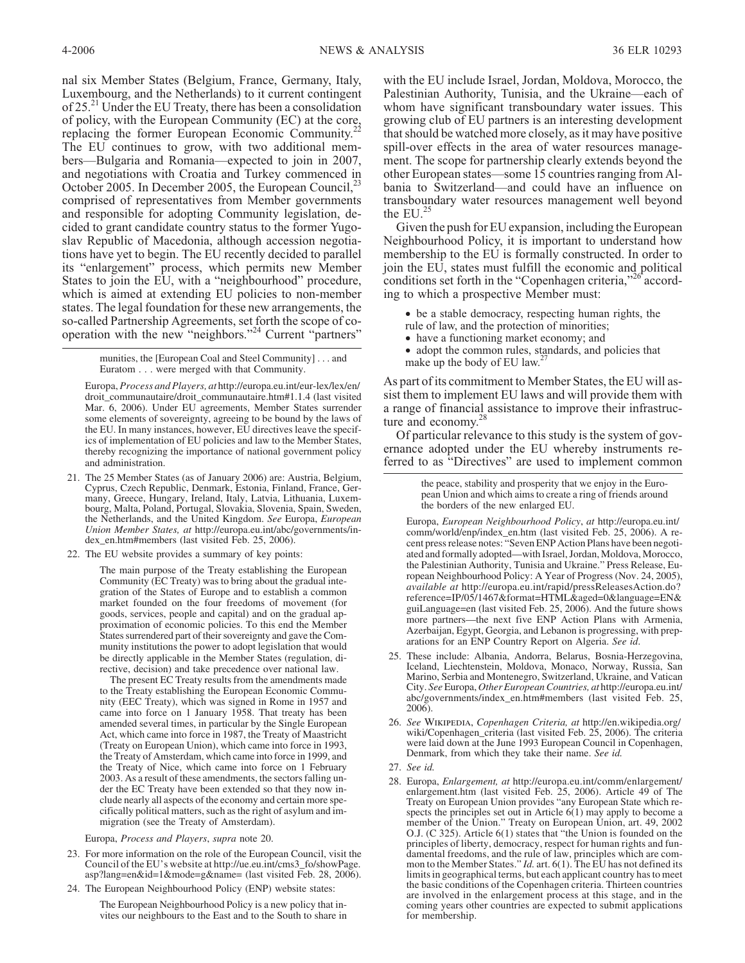nal six Member States (Belgium, France, Germany, Italy, Luxembourg, and the Netherlands) to it current contingent of 25.<sup>21</sup> Under the EU Treaty, there has been a consolidation of policy, with the European Community (EC) at the core, replacing the former European Economic Community.<sup>22</sup> The EU continues to grow, with two additional members—Bulgaria and Romania—expected to join in 2007, and negotiations with Croatia and Turkey commenced in October 2005. In December 2005, the European Council,<sup>23</sup> comprised of representatives from Member governments and responsible for adopting Community legislation, decided to grant candidate country status to the former Yugoslav Republic of Macedonia, although accession negotiations have yet to begin. The EU recently decided to parallel its "enlargement" process, which permits new Member States to join the EU, with a "neighbourhood" procedure, which is aimed at extending EU policies to non-member states. The legal foundation for these new arrangements, the so-called Partnership Agreements, set forth the scope of cooperation with the new "neighbors."<sup>24</sup> Current "partners"

> munities, the [European Coal and Steel Community] . . . and Euratom... were merged with that Community.

Europa, *Process and Players, at* http://europa.eu.int/eur-lex/lex/en/ droit\_communautaire/droit\_communautaire.htm#1.1.4 (last visited Mar. 6, 2006). Under EU agreements, Member States surrender some elements of sovereignty, agreeing to be bound by the laws of the EU. In many instances, however, EU directives leave the specifics of implementation of EU policies and law to the Member States, thereby recognizing the importance of national government policy and administration.

- 21. The 25 Member States (as of January 2006) are: Austria, Belgium, Cyprus, Czech Republic, Denmark, Estonia, Finland, France, Germany, Greece, Hungary, Ireland, Italy, Latvia, Lithuania, Luxembourg, Malta, Poland, Portugal, Slovakia, Slovenia, Spain, Sweden, the Netherlands, and the United Kingdom. *See* Europa, *European Union Member States, at* http://europa.eu.int/abc/governments/index\_en.htm#members (last visited Feb. 25, 2006).
- 22. The EU website provides a summary of key points:

The main purpose of the Treaty establishing the European Community (EC Treaty) was to bring about the gradual integration of the States of Europe and to establish a common market founded on the four freedoms of movement (for goods, services, people and capital) and on the gradual approximation of economic policies. To this end the Member States surrendered part of their sovereignty and gave the Community institutions the power to adopt legislation that would be directly applicable in the Member States (regulation, directive, decision) and take precedence over national law.

The present EC Treaty results from the amendments made to the Treaty establishing the European Economic Community (EEC Treaty), which was signed in Rome in 1957 and came into force on 1 January 1958. That treaty has been amended several times, in particular by the Single European Act, which came into force in 1987, the Treaty of Maastricht (Treaty on European Union), which came into force in 1993, the Treaty of Amsterdam, which came into force in 1999, and the Treaty of Nice, which came into force on 1 February 2003. As a result of these amendments, the sectors falling under the EC Treaty have been extended so that they now include nearly all aspects of the economy and certain more specifically political matters, such as the right of asylum and immigration (see the Treaty of Amsterdam).

Europa, *Process and Players*, *supra* note 20.

- 23. For more information on the role of the European Council, visit the Council of the EU's website at http://ue.eu.int/cms3\_fo/showPage. asp?lang=en&id=1&mode=g&name= (last visited Feb. 28, 2006).
- 24. The European Neighbourhood Policy (ENP) website states:

The European Neighbourhood Policy is a new policy that invites our neighbours to the East and to the South to share in with the EU include Israel, Jordan, Moldova, Morocco, the Palestinian Authority, Tunisia, and the Ukraine—each of whom have significant transboundary water issues. This growing club of EU partners is an interesting development that should be watched more closely, as it may have positive spill-over effects in the area of water resources management. The scope for partnership clearly extends beyond the other European states—some 15 countries ranging from Albania to Switzerland—and could have an influence on transboundary water resources management well beyond the  $EU^{25}$ 

Given the push for EU expansion, including the European Neighbourhood Policy, it is important to understand how membership to the EU is formally constructed. In order to join the EU, states must fulfill the economic and political conditions set forth in the "Copenhagen criteria,"<sup>26</sup> according to which a prospective Member must:

- be a stable democracy, respecting human rights, the rule of law, and the protection of minorities;
- have a functioning market economy; and
- have a functioning market economy, and<br>• adopt the common rules, standards, and policies that
- make up the body of EU law.<sup>27</sup>

As part of its commitment to Member States, the EU will assist them to implement EU laws and will provide them with a range of financial assistance to improve their infrastructure and economy.<sup>28</sup>

Of particular relevance to this study is the system of governance adopted under the EU whereby instruments referred to as "Directives" are used to implement common

> the peace, stability and prosperity that we enjoy in the European Union and which aims to create a ring of friends around the borders of the new enlarged EU.

Europa, *European Neighbourhood Policy*, *at* http://europa.eu.int/ comm/world/enp/index\_en.htm (last visited Feb. 25, 2006). A recent press release notes: "Seven ENP Action Plans have been negotiated and formally adopted—with Israel, Jordan, Moldova, Morocco, the Palestinian Authority, Tunisia and Ukraine." Press Release, European Neighbourhood Policy: A Year of Progress (Nov. 24, 2005), *available at* http://europa.eu.int/rapid/pressReleasesAction.do? reference=IP/05/1467&format=HTML&aged=0&language=EN& guiLanguage=en (last visited Feb. 25, 2006). And the future shows more partners—the next five ENP Action Plans with Armenia, Azerbaijan, Egypt, Georgia, and Lebanon is progressing, with preparations for an ENP Country Report on Algeria. *See id*.

- 25. These include: Albania, Andorra, Belarus, Bosnia-Herzegovina, Iceland, Liechtenstein, Moldova, Monaco, Norway, Russia, San Marino, Serbia and Montenegro, Switzerland, Ukraine, and Vatican City. *See*Europa, *Other European Countries, at* http://europa.eu.int/ abc/governments/index\_en.htm#members (last visited Feb. 25, 2006).
- 26. *See Wikipedia*, *Copenhagen Criteria, at* http://en.wikipedia.org/ wiki/Copenhagen\_criteria (last visited Feb. 25, 2006). The criteria were laid down at the June 1993 European Council in Copenhagen, Denmark, from which they take their name. *See id.*
- 27. *See id.*
- 28. Europa, *Enlargement, at* http://europa.eu.int/comm/enlargement/ enlargement.htm (last visited Feb. 25, 2006). Article 49 of The Treaty on European Union provides "any European State which respects the principles set out in Article 6(1) may apply to become a member of the Union." Treaty on European Union, art. 49, 2002 O.J. (C 325). Article 6(1) states that "the Union is founded on the principles of liberty, democracy, respect for human rights and fundamental freedoms, and the rule of law, principles which are common to the Member States." *Id.* art. 6(1). The EU has not defined its limits in geographical terms, but each applicant country has to meet the basic conditions of the Copenhagen criteria. Thirteen countries are involved in the enlargement process at this stage, and in the coming years other countries are expected to submit applications for membership.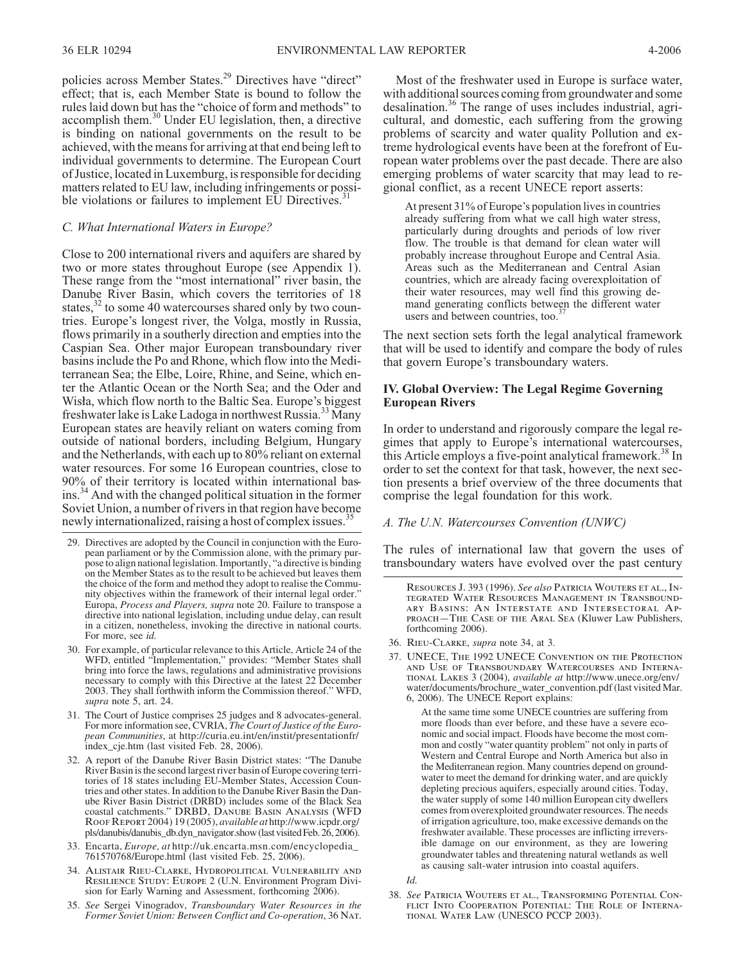policies across Member States.<sup>29</sup> Directives have "direct" effect; that is, each Member State is bound to follow the rules laid down but has the "choice of form and methods" to accomplish them.<sup>30</sup> Under EU legislation, then, a directive is binding on national governments on the result to be achieved, with the means for arriving at that end being left to individual governments to determine. The European Court of Justice, located in Luxemburg, is responsible for deciding matters related to EU law, including infringements or possible violations or failures to implement EU Directives.<sup>3</sup>

#### *C. What International Waters in Europe?*

Close to 200 international rivers and aquifers are shared by two or more states throughout Europe (see Appendix 1). These range from the "most international" river basin, the Danube River Basin, which covers the territories of 18 states,<sup>32</sup> to some 40 watercourses shared only by two countries. Europe's longest river, the Volga, mostly in Russia, flows primarily in a southerly direction and empties into the Caspian Sea. Other major European transboundary river basins include the Po and Rhone, which flow into the Mediterranean Sea; the Elbe, Loire, Rhine, and Seine, which enter the Atlantic Ocean or the North Sea; and the Oder and Wisła, which flow north to the Baltic Sea. Europe's biggest freshwater lake is Lake Ladoga in northwest Russia.<sup>33</sup> Many European states are heavily reliant on waters coming from outside of national borders, including Belgium, Hungary and the Netherlands, with each up to 80% reliant on external water resources. For some 16 European countries, close to 90% of their territory is located within international basins.<sup>34</sup> And with the changed political situation in the former Soviet Union, a number of rivers in that region have become newly internationalized, raising a host of complex issues.<sup>37</sup>

- 29. Directives are adopted by the Council in conjunction with the Euro- pean parliament or by the Commission alone, with the primary pur- pose to align national legislation. Importantly, "a directive is binding on the Member States as to the result to be achieved but leaves them the choice of the form and method they adopt to realise the Commu- nity objectives within the framework of their internal legal order." Europa, *Process and Players, supra* note 20. Failure to transpose a directive into national legislation, including undue delay, can result in a citizen, nonetheless, invoking the directive in national courts. For more, see *id.*
- 30. For example, of particular relevance to this Article, Article 24 of the WFD, entitled "Implementation," provides: "Member States shall bring into force the laws, regulations and administrative provisions necessary to comply with this Directive at the latest 22 December 2003. They shall forthwith inform the Commission thereof." WFD, *supra* note 5, art. 24.
- 31. The Court of Justice comprises 25 judges and 8 advocates-general. For more information see, CVRIA, *The Court of Justice of the European Communities*, at http://curia.eu.int/en/instit/presentationfr/ index\_cje.htm (last visited Feb. 28, 2006).
- 32. A report of the Danube River Basin District states: "The Danube River Basin is the second largest river basin of Europe covering territories of 18 states including EU-Member States, Accession Countries and other states. In addition to the Danube River Basin the Danube River Basin District (DRBD) includes some of the Black Sea coastal catchments." *DRBD, Danube Basin Analysis (WFD Roof Report* 2004) 19 (2005), *available at* http://www.icpdr.org/ pls/danubis/danubis\_db.dyn\_navigator.show (last visited Feb. 26, 2006).
- 33. Encarta, *Europe, at* http://uk.encarta.msn.com/encyclopedia\_ 761570768/Europe.html (last visited Feb. 25, 2006).
- 34. *Alistair Rieu-Clarke, Hydropolitical Vulnerability and Resilience Study: Europe* 2 (U.N. Environment Program Division for Early Warning and Assessment, forthcoming 2006).
- 35. *See* Sergei Vinogradov, *Transboundary Water Resources in the Former Soviet Union: Between Conflict and Co-operation*, 36 *Nat.*

Most of the freshwater used in Europe is surface water, with additional sources coming from groundwater and some desalination.<sup>36</sup> The range of uses includes industrial, agricultural, and domestic, each suffering from the growing problems of scarcity and water quality Pollution and extreme hydrological events have been at the forefront of European water problems over the past decade. There are also emerging problems of water scarcity that may lead to regional conflict, as a recent UNECE report asserts:

At present 31% of Europe's population lives in countries already suffering from what we call high water stress, particularly during droughts and periods of low river flow. The trouble is that demand for clean water will probably increase throughout Europe and Central Asia. Areas such as the Mediterranean and Central Asian countries, which are already facing overexploitation of their water resources, may well find this growing demand generating conflicts between the different water users and between countries, too.<sup>3</sup>

The next section sets forth the legal analytical framework that will be used to identify and compare the body of rules that govern Europe's transboundary waters.

#### **IV. Global Overview: The Legal Regime Governing European Rivers**

In order to understand and rigorously compare the legal regimes that apply to Europe's international watercourses, this Article employs a five-point analytical framework.<sup>38</sup> In order to set the context for that task, however, the next section presents a brief overview of the three documents that comprise the legal foundation for this work.

#### *A. The U.N. Watercourses Convention (UNWC)*

The rules of international law that govern the uses of transboundary waters have evolved over the past century

RESOURCES J. 393 (1996). See also PATRICIA WOUTERS ET AL., INTEGRATED WATER RESOURCES MANAGEMENT IN TRANSBOUND-ARY BASINS: AN INTERSTATE AND INTERSECTORAL APPROACH-THE CASE OF THE ARAL SEA (Kluwer Law Publishers, forthcoming 2006).

- 36. *Rieu-Clarke*, *supra* note 34, at 3.
- 37. *UNECE, The* 1992 *UNECE Convention on the Protection and Use of Transboundary Watercourses and Interna- tional Lakes* 3 (2004), *available at* http://www.unece.org/env/ water/documents/brochure\_water\_convention.pdf (last visited Mar. 6, 2006). The UNECE Report explains:

At the same time some UNECE countries are suffering from more floods than ever before, and these have a severe economic and social impact. Floods have become the most common and costly "water quantity problem" not only in parts of Western and Central Europe and North America but also in the Mediterranean region. Many countries depend on groundwater to meet the demand for drinking water, and are quickly depleting precious aquifers, especially around cities. Today, the water supply of some 140 million European city dwellers comes from overexploited groundwater resources. The needs of irrigation agriculture, too, make excessive demands on the freshwater available. These processes are inflicting irreversible damage on our environment, as they are lowering groundwater tables and threatening natural wetlands as well as causing salt-water intrusion into coastal aquifers.

*Id.*

38. *See Patricia Wouters et al., Transforming Potential Conflict Into Cooperation Potential: The Role of International Water Law* (UNESCO PCCP 2003).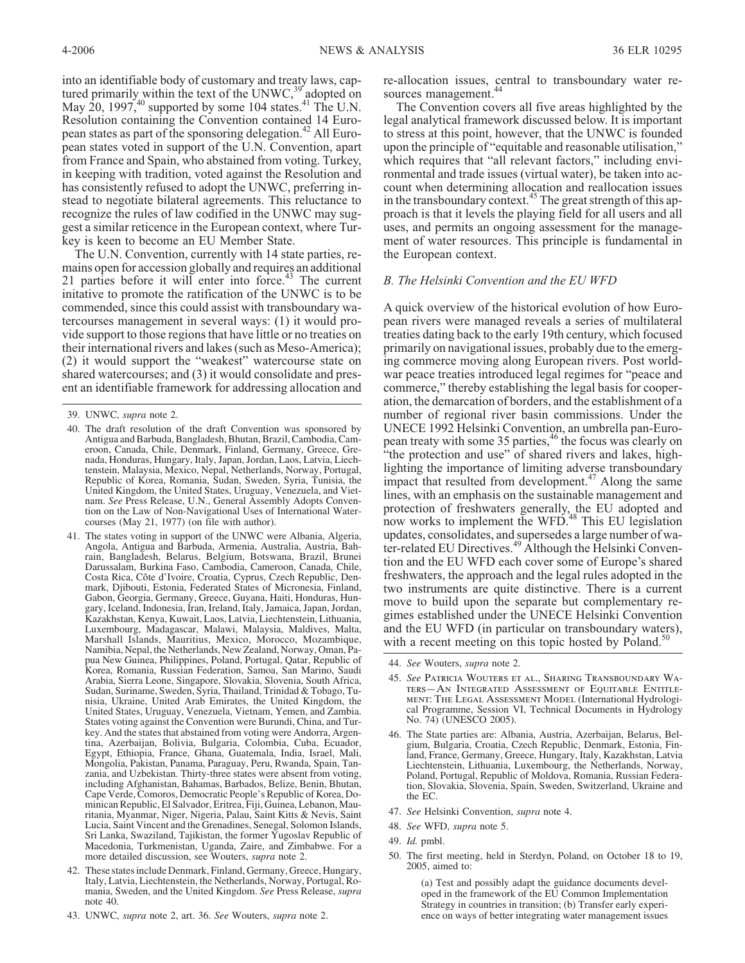into an identifiable body of customary and treaty laws, captured primarily within the text of the UNWC,  $39^\circ$  adopted on May 20, 1997,<sup>40</sup> supported by some 104 states.<sup>41</sup> The U.N. Resolution containing the Convention contained 14 European states as part of the sponsoring delegation.<sup>42</sup> All European states voted in support of the U.N. Convention, apart from France and Spain, who abstained from voting. Turkey, in keeping with tradition, voted against the Resolution and has consistently refused to adopt the UNWC, preferring instead to negotiate bilateral agreements. This reluctance to recognize the rules of law codified in the UNWC may suggest a similar reticence in the European context, where Turkey is keen to become an EU Member State.

The U.N. Convention, currently with 14 state parties, remains open for accession globally and requires an additional 21 parties before it will enter into force. $43$  The current initative to promote the ratification of the UNWC is to be commended, since this could assist with transboundary watercourses management in several ways: (1) it would provide support to those regions that have little or no treaties on their international rivers and lakes (such as Meso-America); (2) it would support the "weakest" watercourse state on shared watercourses; and (3) it would consolidate and present an identifiable framework for addressing allocation and

- 40. The draft resolution of the draft Convention was sponsored by Antigua and Barbuda, Bangladesh, Bhutan, Brazil, Cambodia, Cameroon, Canada, Chile, Denmark, Finland, Germany, Greece, Grenada, Honduras, Hungary, Italy, Japan, Jordan, Laos, Latvia, Liechtenstein, Malaysia, Mexico, Nepal, Netherlands, Norway, Portugal, Republic of Korea, Romania, Sudan, Sweden, Syria, Tunisia, the United Kingdom, the United States, Uruguay, Venezuela, and Vietnam. *See* Press Release, U.N., General Assembly Adopts Convention on the Law of Non-Navigational Uses of International Watercourses (May 21, 1977) (on file with author).
- 41. The states voting in support of the UNWC were Albania, Algeria, Angola, Antigua and Barbuda, Armenia, Australia, Austria, Bah- rain, Bangladesh, Belarus, Belgium, Botswana, Brazil, Brunei Darussalam, Burkina Faso, Cambodia, Cameroon, Canada, Chile, mark, Djibouti, Estonia, Federated States of Micronesia, Finland, Gabon, Georgia, Germany, Greece, Guyana, Haiti, Honduras, Hun- gary, Iceland, Indonesia, Iran, Ireland, Italy, Jamaica, Japan, Jordan, Kazakhstan, Kenya, Kuwait, Laos, Latvia, Liechtenstein, Lithuania, Luxembourg, Madagascar, Malawi, Malaysia, Maldives, Malta, Marshall Islands, Mauritius, Mexico, Morocco, Mozambique, Namibia, Nepal, the Netherlands, New Zealand, Norway, Oman, Papua New Guinea, Philippines, Poland, Portugal, Qatar, Republic of Korea, Romania, Russian Federation, Samoa, San Marino, Saudi Arabia, Sierra Leone, Singapore, Slovakia, Slovenia, South Africa, nisia, Ukraine, United Arab Emirates, the United Kingdom, the United States, Uruguay, Venezuela, Vietnam, Yemen, and Zambia. States voting against the Convention were Burundi, China, and Turkey. And the states that abstained from voting were Andorra, Argentina, Azerbaijan, Bolivia, Bulgaria, Colombia, Cuba, Ecuador, Egypt, Ethiopia, France, Ghana, Guatemala, India, Israel, Mali, Mongolia, Pakistan, Panama, Paraguay, Peru, Rwanda, Spain, Tanzania, and Uzbekistan. Thirty-three states were absent from voting, including Afghanistan, Bahamas, Barbados, Belize, Benin, Bhutan, Cape Verde, Comoros, Democratic People's Republic of Korea, Dominican Republic, El Salvador, Eritrea, Fiji, Guinea, Lebanon, Mauritania, Myanmar, Niger, Nigeria, Palau, Saint Kitts & Nevis, Saint Lucia, Saint Vincent and the Grenadines, Senegal, Solomon Islands, Sri Lanka, Swaziland, Tajikistan, the former Yugoslav Republic of Macedonia, Turkmenistan, Uganda, Zaire, and Zimbabwe. For a more detailed discussion, see Wouters, *supra* note 2.
- 42. These states include Denmark, Finland, Germany, Greece, Hungary, Italy, Latvia, Liechtenstein, the Netherlands, Norway, Portugal, Romania, Sweden, and the United Kingdom. *See* Press Release, *supra* note 40.
- 43. UNWC, *supra* note 2, art. 36. *See* Wouters, *supra* note 2.

re-allocation issues, central to transboundary water resources management.<sup>44</sup>

The Convention covers all five areas highlighted by the legal analytical framework discussed below. It is important to stress at this point, however, that the UNWC is founded upon the principle of "equitable and reasonable utilisation," which requires that "all relevant factors," including environmental and trade issues (virtual water), be taken into account when determining allocation and reallocation issues in the transboundary context.<sup>45</sup> The great strength of this approach is that it levels the playing field for all users and all uses, and permits an ongoing assessment for the management of water resources. This principle is fundamental in the European context.

# *B. The Helsinki Convention and the EU WFD*

A quick overview of the historical evolution of how European rivers were managed reveals a series of multilateral treaties dating back to the early 19th century, which focused primarily on navigational issues, probably due to the emerging commerce moving along European rivers. Post worldwar peace treaties introduced legal regimes for "peace and commerce," thereby establishing the legal basis for cooperation, the demarcation of borders, and the establishment of a number of regional river basin commissions. Under the UNECE 1992 Helsinki Convention, an umbrella pan-European treaty with some 35 parties,<sup>46</sup> the focus was clearly on "the protection and use" of shared rivers and lakes, highlighting the importance of limiting adverse transboundary impact that resulted from development.<sup>47</sup> Along the same lines, with an emphasis on the sustainable management and protection of freshwaters generally, the EU adopted and now works to implement the WFD.<sup>48</sup> This EU legislation updates, consolidates, and supersedes a large number of water-related EU Directives.<sup>49</sup> Although the Helsinki Convention and the EU WFD each cover some of Europe's shared freshwaters, the approach and the legal rules adopted in the two instruments are quite distinctive. There is a current move to build upon the separate but complementary regimes established under the UNECE Helsinki Convention and the EU WFD (in particular on transboundary waters), with a recent meeting on this topic hosted by Poland.<sup>5</sup>

- 45. *See Patricia Wouters et al., Sharing Transboundary Waters—An Integrated Assessment of Equitable Entitle- ment: The Legal Assessment Model* (International Hydrological Programme, Session VI, Technical Documents in Hydrology No. 74) (UNESCO 2005).
- 46. The State parties are: Albania, Austria, Azerbaijan, Belarus, Belgium, Bulgaria, Croatia, Czech Republic, Denmark, Estonia, Finland, France, Germany, Greece, Hungary, Italy, Kazakhstan, Latvia Liechtenstein, Lithuania, Luxembourg, the Netherlands, Norway, Poland, Portugal, Republic of Moldova, Romania, Russian Federation, Slovakia, Slovenia, Spain, Sweden, Switzerland, Ukraine and the EC.
- 47. *See* Helsinki Convention, *supra* note 4.
- 48. *See* WFD, *supra* note 5.
- 49. *Id.* pmbl.
- 50. The first meeting, held in Sterdyn, Poland, on October 18 to 19, 2005, aimed to:

(a) Test and possibly adapt the guidance documents developed in the framework of the EU Common Implementation Strategy in countries in transition; (b) Transfer early experience on ways of better integrating water management issues

<sup>39.</sup> UNWC, *supra* note 2.

<sup>44.</sup> *See* Wouters, *supra* note 2.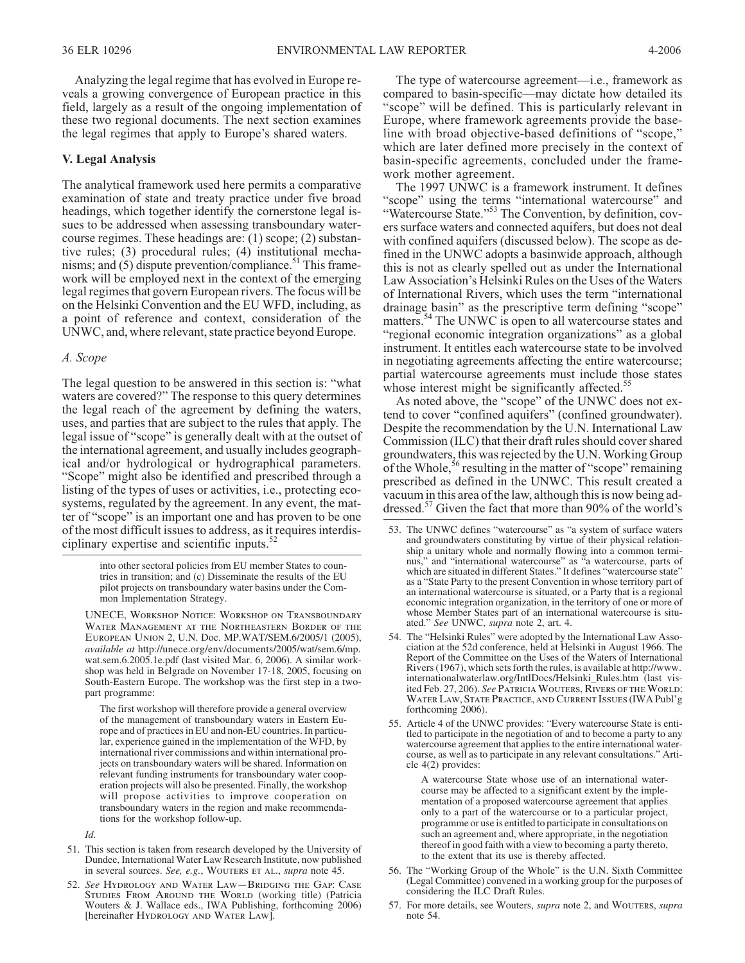Analyzing the legal regime that has evolved in Europe reveals a growing convergence of European practice in this field, largely as a result of the ongoing implementation of these two regional documents. The next section examines the legal regimes that apply to Europe's shared waters.

#### **V. Legal Analysis**

The analytical framework used here permits a comparative examination of state and treaty practice under five broad headings, which together identify the cornerstone legal issues to be addressed when assessing transboundary watercourse regimes. These headings are: (1) scope; (2) substantive rules; (3) procedural rules; (4) institutional mechanisms; and  $(5)$  dispute prevention/compliance.<sup>51</sup> This framework will be employed next in the context of the emerging legal regimes that govern European rivers. The focus will be on the Helsinki Convention and the EU WFD, including, as a point of reference and context, consideration of the UNWC, and, where relevant, state practice beyond Europe.

#### *A. Scope*

The legal question to be answered in this section is: "what waters are covered?" The response to this query determines the legal reach of the agreement by defining the waters, uses, and parties that are subject to the rules that apply. The legal issue of "scope" is generally dealt with at the outset of the international agreement, and usually includes geographical and/or hydrological or hydrographical parameters. "Scope" might also be identified and prescribed through a listing of the types of uses or activities, i.e., protecting ecosystems, regulated by the agreement. In any event, the matter of "scope" is an important one and has proven to be one of the most difficult issues to address, as it requires interdisciplinary expertise and scientific inputs. $52$ 

> into other sectoral policies from EU member States to countries in transition; and (c) Disseminate the results of the EU pilot projects on transboundary water basins under the Common Implementation Strategy.

*UNECE, Workshop Notice: Workshop on Transboundary Water Management at the Northeastern Border of the European Union* 2, U.N. Doc. MP.WAT/SEM.6/2005/1 (2005), *available at* http://unece.org/env/documents/2005/wat/sem.6/mp. wat.sem.6.2005.1e.pdf (last visited Mar. 6, 2006). A similar workshop was held in Belgrade on November 17-18, 2005, focusing on South-Eastern Europe. The workshop was the first step in a twopart programme:

The first workshop will therefore provide a general overview of the management of transboundary waters in Eastern Europe and of practices in EU and non-EU countries. In particular, experience gained in the implementation of the WFD, by international river commissions and within international projects on transboundary waters will be shared. Information on relevant funding instruments for transboundary water cooperation projects will also be presented. Finally, the workshop will propose activities to improve cooperation on transboundary waters in the region and make recommendations for the workshop follow-up.

*Id.*

- 51. This section is taken from research developed by the University of Dundee, International Water Law Research Institute, now published in several sources. *See, e.g.*, *Wouters et al.*, *supra* note 45.
- 52. *See Hydrology and Water Law—Bridging the Gap: Case Studies From Around the World* (working title) (Patricia Wouters & J. Wallace eds., IWA Publishing, forthcoming 2006) [hereinafter *Hydrology and Water Law*].

The type of watercourse agreement—i.e., framework as compared to basin-specific—may dictate how detailed its "scope" will be defined. This is particularly relevant in Europe, where framework agreements provide the baseline with broad objective-based definitions of "scope," which are later defined more precisely in the context of basin-specific agreements, concluded under the framework mother agreement.

The 1997 UNWC is a framework instrument. It defines "scope" using the terms "international watercourse" and "Watercourse State."<sup>53</sup> The Convention, by definition, covers surface waters and connected aquifers, but does not deal with confined aquifers (discussed below). The scope as defined in the UNWC adopts a basinwide approach, although this is not as clearly spelled out as under the International Law Association's Helsinki Rules on the Uses of the Waters of International Rivers, which uses the term "international drainage basin" as the prescriptive term defining "scope" matters.<sup>54</sup> The UNWC is open to all watercourse states and "regional economic integration organizations" as a global instrument. It entitles each watercourse state to be involved in negotiating agreements affecting the entire watercourse; partial watercourse agreements must include those states whose interest might be significantly affected.<sup>55</sup>

As noted above, the "scope" of the UNWC does not extend to cover "confined aquifers" (confined groundwater). Despite the recommendation by the U.N. International Law Commission (ILC) that their draft rules should cover shared groundwaters, this was rejected by the U.N. Working Group of the Whole,  $56$  resulting in the matter of "scope" remaining prescribed as defined in the UNWC. This result created a vacuum in this area of the law, although this is now being addressed.<sup>57</sup> Given the fact that more than 90% of the world's

- 53. The UNWC defines "watercourse" as "a system of surface waters and groundwaters constituting by virtue of their physical relation-<br>ship a unitary whole and normally flowing into a common termi-<br>nus," and "international watercourse" as "a watercourse, parts of which are situated in different States." It defines "watercourse state" as a "State Party to the present Convention in whose territory part of an international watercourse is situated, or a Party that is a regional economic integration organization, in the territory of one or more of whose Member States part of an international watercourse is situ- ated." *See* UNWC, *supra* note 2, art. 4.
- 54. The "Helsinki Rules" were adopted by the International Law Asso- ciation at the 52d conference, held at Helsinki in August 1966. The Report of the Committee on the Uses of the Waters of International Rivers (1967), which sets forth the rules, is available at http://www. internationalwaterlaw.org/IntlDocs/Helsinki\_Rules.htm (last visited Feb. 27, 206). *See Patricia Wouters, Rivers of the World: Water Law, State Practice, and Current Issues* (IWA Publ'g forthcoming 2006).
- 55. Article 4 of the UNWC provides: "Every watercourse State is entitled to participate in the negotiation of and to become a party to any watercourse agreement that applies to the entire international watercourse, as well as to participate in any relevant consultations." Article 4(2) provides:

A watercourse State whose use of an international watercourse may be affected to a significant extent by the implementation of a proposed watercourse agreement that applies only to a part of the watercourse or to a particular project, programme or use is entitled to participate in consultations on such an agreement and, where appropriate, in the negotiation thereof in good faith with a view to becoming a party thereto, to the extent that its use is thereby affected.

- 56. The "Working Group of the Whole" is the U.N. Sixth Committee (Legal Committee) convened in a working group for the purposes of considering the ILC Draft Rules.
- 57. For more details, see Wouters, *supra* note 2, and *Wouters*, *supra* note 54.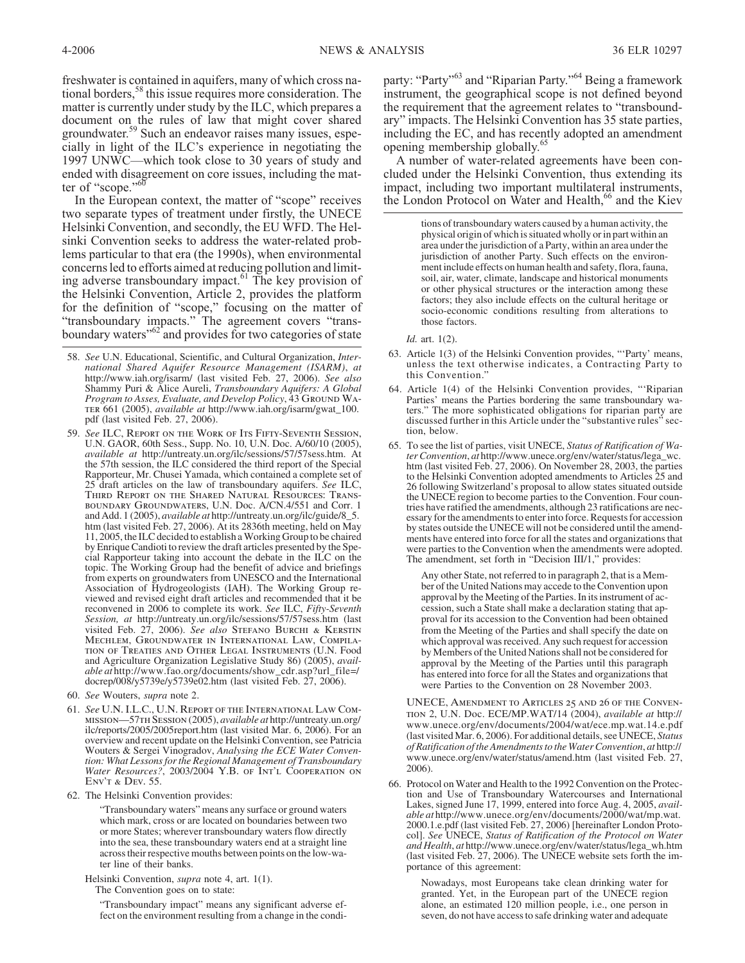freshwater is contained in aquifers, many of which cross national borders,<sup>58</sup> this issue requires more consideration. The matter is currently under study by the ILC, which prepares a document on the rules of law that might cover shared groundwater.<sup>59</sup> Such an endeavor raises many issues, especially in light of the ILC's experience in negotiating the 1997 UNWC—which took close to 30 years of study and ended with disagreement on core issues, including the matter of "scope."<sup>60</sup>

In the European context, the matter of "scope" receives two separate types of treatment under firstly, the UNECE Helsinki Convention, and secondly, the EU WFD. The Helsinki Convention seeks to address the water-related problems particular to that era (the 1990s), when environmental concerns led to efforts aimed at reducing pollution and limiting adverse transboundary impact.<sup>61</sup> The key provision of the Helsinki Convention, Article 2, provides the platform for the definition of "scope," focusing on the matter of "transboundary impacts." The agreement covers "transboundary waters"<sup>62</sup> and provides for two categories of state

- 58. *See* U.N. Educational, Scientific, and Cultural Organization, *Inter- national Shared Aquifer Resource Management (ISARM)*, *at* http://www.iah.org/isarm/ (last visited Feb. 27, 2006). *See also* Shammy Puri & Alice Aureli, *Transboundary Aquifers: A Global Program to Asses, Evaluate, and Develop Policy*, 43 *Ground Wa- ter* 661 (2005), *available at* http://www.iah.org/isarm/gwat\_100. pdf (last visited Feb. 27, 2006).
- 59. *See ILC, Report on the Work of Its Fifty-Seventh Session*, U.N. GAOR, 60th Sess., Supp. No. 10, U.N. Doc. A/60/10 (2005), *available at* http://untreaty.un.org/ilc/sessions/57/57sess.htm. At the 57th session, the ILC considered the third report of the Special Rapporteur, Mr. Chusei Yamada, which contained a complete set of 25 draft articles on the law of transboundary aquifers. *See ILC, Third Report on the Shared Natural Resources: Transboundary Groundwaters*, U.N. Doc. A/CN.4/551 and Corr. 1 and Add. 1 (2005), *available at* http://untreaty.un.org/ilc/guide/8\_5. htm (last visited Feb. 27, 2006). At its 2836th meeting, held on May 11, 2005, the ILC decided to establish aWorking Group to be chaired by Enrique Candioti to review the draft articles presented by the Spe- cial Rapporteur taking into account the debate in the ILC on the topic. The Working Group had the benefit of advice and briefings from experts on groundwaters from UNESCO and the International Association of Hydrogeologists (IAH). The Working Group re- viewed and revised eight draft articles and recommended that it be reconvened in 2006 to complete its work. *See* ILC, *Fifty-Seventh Session, at* http://untreaty.un.org/ilc/sessions/57/57sess.htm (last visited Feb. 27, 2006). *See also Stefano Burchi & Kerstin Mechlem, Groundwater in International Law, Compilation of Treaties and Other Legal Instruments* (U.N. Food and Agriculture Organization Legislative Study 86) (2005), *available at* http://www.fao.org/documents/show\_cdr.asp?url\_file=/ docrep/008/y5739e/y5739e02.htm (last visited Feb. 27, 2006).
- 60. *See* Wouters, *supra* note 2.
- 61. *See U.N. I.L.C., U.N. Report of the International Law Commission*—57*th Session*(2005), *available at* http://untreaty.un.org/ ilc/reports/2005/2005report.htm (last visited Mar. 6, 2006). For an overview and recent update on the Helsinki Convention, see Patricia Wouters & Sergei Vinogradov, *Analysing the ECE Water Convention: What Lessons for the Regional Management of Transboundary Water Resources?*, 2003/2004 *Y.B. of Int'l Cooperation on Env't & Dev.* 55.
- 62. The Helsinki Convention provides:

"Transboundary waters" means any surface or ground waters which mark, cross or are located on boundaries between two or more States; wherever transboundary waters flow directly into the sea, these transboundary waters end at a straight line across their respective mouths between points on the low-water line of their banks.

Helsinki Convention, *supra* note 4, art. 1(1).

The Convention goes on to state:

"Transboundary impact" means any significant adverse effect on the environment resulting from a change in the condiparty: "Party"<sup>63</sup> and "Riparian Party."<sup>64</sup> Being a framework instrument, the geographical scope is not defined beyond the requirement that the agreement relates to "transboundary" impacts. The Helsinki Convention has 35 state parties, including the EC, and has recently adopted an amendment opening membership globally.<sup>65</sup>

A number of water-related agreements have been concluded under the Helsinki Convention, thus extending its impact, including two important multilateral instruments, the London Protocol on Water and Health,<sup>66</sup> and the Kiev

> tions of transboundary waters caused by a human activity, the physical origin of which is situated wholly or in part within an area under the jurisdiction of a Party, within an area under the jurisdiction of another Party. Such effects on the environment include effects on human health and safety, flora, fauna, soil, air, water, climate, landscape and historical monuments or other physical structures or the interaction among these factors; they also include effects on the cultural heritage or socio-economic conditions resulting from alterations to those factors.

*Id.* art. 1(2).

- 63. Article 1(3) of the Helsinki Convention provides, "'Party' means, unless the text otherwise indicates, a Contracting Party to this Convention."
- 64. Article 1(4) of the Helsinki Convention provides, "'Riparian Parties' means the Parties bordering the same transboundary wa-<br>ters." The more sophisticated obligations for riparian party are discussed further in this Article under the "substantive rules" section, below.
- 65. To see the list of parties, visit UNECE, *Status of Ratification of Water Convention*, *at* http://www.unece.org/env/water/status/lega\_wc. htm (last visited Feb. 27, 2006). On November 28, 2003, the parties to the Helsinki Convention adopted amendments to Articles 25 and 26 following Switzerland's proposal to allow states situated outside the UNECE region to become parties to the Convention. Four countries have ratified the amendments, although 23 ratifications are necessary for the amendments to enter into force. Requests for accession by states outside the UNECE will not be considered until the amendments have entered into force for all the states and organizations that were parties to the Convention when the amendments were adopted. The amendment, set forth in "Decision III/1," provides:

Any other State, not referred to in paragraph 2, that is a Member of the United Nations may accede to the Convention upon approval by the Meeting of the Parties. In its instrument of accession, such a State shall make a declaration stating that approval for its accession to the Convention had been obtained from the Meeting of the Parties and shall specify the date on which approval was received. Any such request for accession by Members of the United Nations shall not be considered for approval by the Meeting of the Parties until this paragraph has entered into force for all the States and organizations that were Parties to the Convention on 28 November 2003.

*UNECE, Amendment to Articles 25 and 26 of the Convention* 2, U.N. Doc. ECE/MP.WAT/14 (2004), *available at* http:// www.unece.org/env/documents/2004/wat/ece.mp.wat.14.e.pdf (last visited Mar. 6, 2006). For additional details, see UNECE, *Status of Ratification of the Amendments to the Water Convention*, *at* http:// www.unece.org/env/water/status/amend.htm (last visited Feb. 27, 2006).

66. Protocol on Water and Health to the 1992 Convention on the Protection and Use of Transboundary Watercourses and International Lakes, signed June 17, 1999, entered into force Aug. 4, 2005, *available at* http://www.unece.org/env/documents/2000/wat/mp.wat. 2000.1.e.pdf (last visited Feb. 27, 2006) [hereinafter London Protocol]. *See* UNECE, *Status of Ratification of the Protocol on Water and Health*, *at* http://www.unece.org/env/water/status/lega\_wh.htm (last visited Feb. 27, 2006). The UNECE website sets forth the importance of this agreement:

> Nowadays, most Europeans take clean drinking water for granted. Yet, in the European part of the UNECE region alone, an estimated 120 million people, i.e., one person in seven, do not have access to safe drinking water and adequate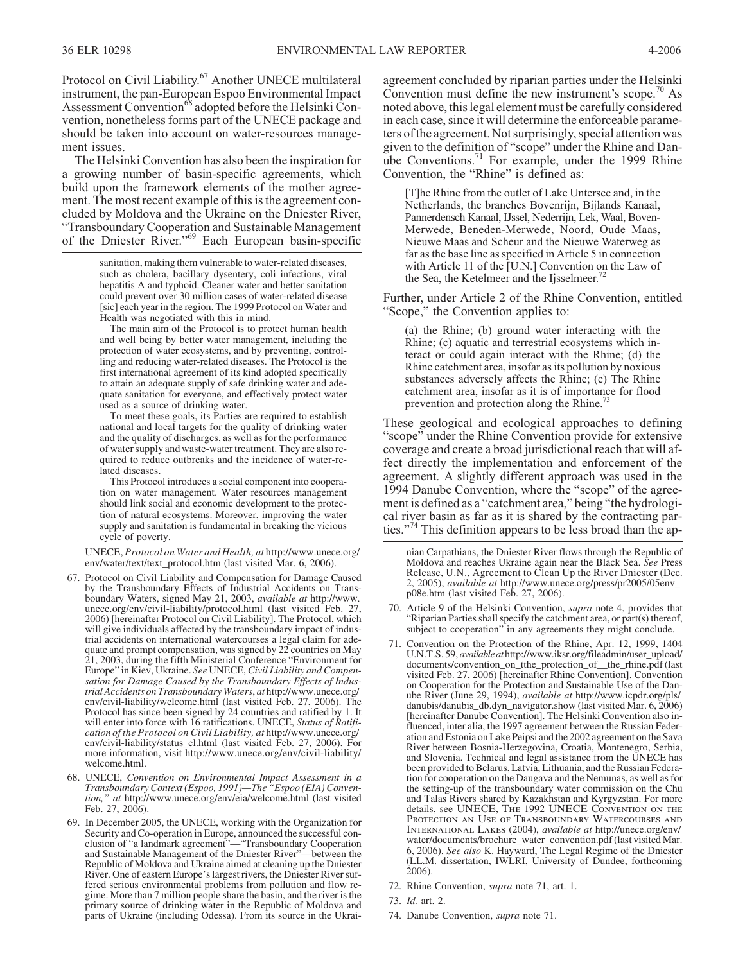Protocol on Civil Liability.<sup>67</sup> Another UNECE multilateral instrument, the pan-European Espoo Environmental Impact Assessment Convention<sup>68</sup> adopted before the Helsinki Convention, nonetheless forms part of the UNECE package and should be taken into account on water-resources management issues.

The Helsinki Convention has also been the inspiration for a growing number of basin-specific agreements, which build upon the framework elements of the mother agreement. The most recent example of this is the agreement concluded by Moldova and the Ukraine on the Dniester River, "Transboundary Cooperation and Sustainable Management of the Dniester River."<sup>69</sup> Each European basin-specific

> sanitation, making them vulnerable to water-related diseases, such as cholera, bacillary dysentery, coli infections, viral hepatitis A and typhoid. Cleaner water and better sanitation could prevent over 30 million cases of water-related disease [sic] each year in the region. The 1999 Protocol on Water and Health was negotiated with this in mind.

> The main aim of the Protocol is to protect human health and well being by better water management, including the protection of water ecosystems, and by preventing, controlling and reducing water-related diseases. The Protocol is the first international agreement of its kind adopted specifically to attain an adequate supply of safe drinking water and adequate sanitation for everyone, and effectively protect water used as a source of drinking water.

> To meet these goals, its Parties are required to establish national and local targets for the quality of drinking water and the quality of discharges, as well as for the performance of water supply and waste-water treatment. They are also required to reduce outbreaks and the incidence of water-related diseases.

> This Protocol introduces a social component into cooperation on water management. Water resources management should link social and economic development to the protection of natural ecosystems. Moreover, improving the water supply and sanitation is fundamental in breaking the vicious cycle of poverty.

UNECE, *Protocol on Water and Health, at* http://www.unece.org/ env/water/text/text\_protocol.htm (last visited Mar. 6, 2006).

- 67. Protocol on Civil Liability and Compensation for Damage Caused by the Transboundary Effects of Industrial Accidents on Trans- boundary Waters, signed May 21, 2003, *available at* http://www. unece.org/env/civil-liability/protocol.html (last visited Feb. 27, 2006) [hereinafter Protocol on Civil Liability]. The Protocol, which will give individuals affected by the transboundary impact of indus- trial accidents on international watercourses a legal claim for adequate and prompt compensation, was signed by 22 countries on May 21, 2003, during the fifth Ministerial Conference "Environment for Europe" in Kiev, Ukraine. *See* UNECE,*Civil Liability and Compen- sation for Damage Caused by the Transboundary Effects of Industrial Accidents on Transboundary Waters*, *at* http://www.unece.org/ env/civil-liability/welcome.html (last visited Feb. 27, 2006). The Protocol has since been signed by 24 countries and ratified by 1. It will enter into force with 16 ratifications. UNECE, *Status of Ratification of the Protocol on Civil Liability, at* http://www.unece.org/ env/civil-liability/status\_cl.html (last visited Feb. 27, 2006). For more information, visit http://www.unece.org/env/civil-liability/ welcome.html.
- 68. UNECE, *Convention on Environmental Impact Assessment in a Transboundary Context (Espoo, 1991)—The "Espoo (EIA) Convention," at* http://www.unece.org/env/eia/welcome.html (last visited Feb. 27, 2006).
- 69. In December 2005, the UNECE, working with the Organization for Security and Co-operation in Europe, announced the successful conclusion of "a landmark agreement"—"Transboundary Cooperation and Sustainable Management of the Dniester River"—between the Republic of Moldova and Ukraine aimed at cleaning up the Dniester River. One of eastern Europe's largest rivers, the Dniester River suffered serious environmental problems from pollution and flow regime. More than 7 million people share the basin, and the river is the primary source of drinking water in the Republic of Moldova and parts of Ukraine (including Odessa). From its source in the Ukrai-

agreement concluded by riparian parties under the Helsinki Convention must define the new instrument's scope.<sup>70</sup> As noted above, this legal element must be carefully considered in each case, since it will determine the enforceable parameters of the agreement. Not surprisingly, special attention was given to the definition of "scope" under the Rhine and Danube Conventions.<sup>71</sup> For example, under the 1999 Rhine Convention, the "Rhine" is defined as:

[T]he Rhine from the outlet of Lake Untersee and, in the Netherlands, the branches Bovenrijn, Bijlands Kanaal, Pannerdensch Kanaal, IJssel, Nederrijn, Lek, Waal, Boven-Merwede, Beneden-Merwede, Noord, Oude Maas, Nieuwe Maas and Scheur and the Nieuwe Waterweg as far as the base line as specified in Article 5 in connection with Article 11 of the [U.N.] Convention on the Law of the Sea, the Ketelmeer and the Ijsselmeer.<sup>72</sup>

Further, under Article 2 of the Rhine Convention, entitled "Scope," the Convention applies to:

(a) the Rhine; (b) ground water interacting with the Rhine; (c) aquatic and terrestrial ecosystems which interact or could again interact with the Rhine; (d) the Rhine catchment area, insofar as its pollution by noxious substances adversely affects the Rhine; (e) The Rhine catchment area, insofar as it is of importance for flood prevention and protection along the Rhine.<sup>73</sup>

These geological and ecological approaches to defining "scope" under the Rhine Convention provide for extensive coverage and create a broad jurisdictional reach that will affect directly the implementation and enforcement of the agreement. A slightly different approach was used in the 1994 Danube Convention, where the "scope" of the agreement is defined as a "catchment area," being "the hydrological river basin as far as it is shared by the contracting parties."<sup>74</sup> This definition appears to be less broad than the ap-

nian Carpathians, the Dniester River flows through the Republic of Moldova and reaches Ukraine again near the Black Sea. *See* Press Release, U.N., Agreement to Clean Up the River Dniester (Dec. 2, 2005), *available at* http://www.unece.org/press/pr2005/05env\_ p08e.htm (last visited Feb. 27, 2006).

- 70. Article 9 of the Helsinki Convention, *supra* note 4, provides that "Riparian Parties shall specify the catchment area, or part(s) thereof, subject to cooperation" in any agreements they might conclude.
- 71. Convention on the Protection of the Rhine, Apr. 12, 1999, 1404 U.N.T.S. 59, *available at*http://www.iksr.org/fileadmin/user\_upload/ documents/convention\_on\_tthe\_protection\_of\_\_the\_rhine.pdf (last visited Feb. 27, 2006) [hereinafter Rhine Convention]. Convention on Cooperation for the Protection and Sustainable Use of the Dan- ube River (June 29, 1994), *available at* http://www.icpdr.org/pls/ danubis/danubis\_db.dyn\_navigator.show (last visited Mar. 6, 2006) [hereinafter Danube Convention]. The Helsinki Convention also influenced, inter alia, the 1997 agreement between the Russian Federation and Estonia on Lake Peipsi and the 2002 agreement on the Sava River between Bosnia-Herzegovina, Croatia, Montenegro, Serbia, and Slovenia. Technical and legal assistance from the UNECE has been provided to Belarus, Latvia, Lithuania, and the Russian Federation for cooperation on the Daugava and the Nemunas, as well as for the setting-up of the transboundary water commission on the Chu and Talas Rivers shared by Kazakhstan and Kyrgyzstan. For more details, see *UNECE, The* 1992 *UNECE Convention on the Protection an Use of Transboundary Watercourses and International Lakes* (2004), *available at* http://unece.org/env/ water/documents/brochure\_water\_convention.pdf (last visited Mar. 6, 2006). *See also* K. Hayward, The Legal Regime of the Dniester (LL.M. dissertation, IWLRI, University of Dundee, forthcoming 2006).
- 72. Rhine Convention, *supra* note 71, art. 1.
- 73. *Id.* art. 2.
- 74. Danube Convention, *supra* note 71.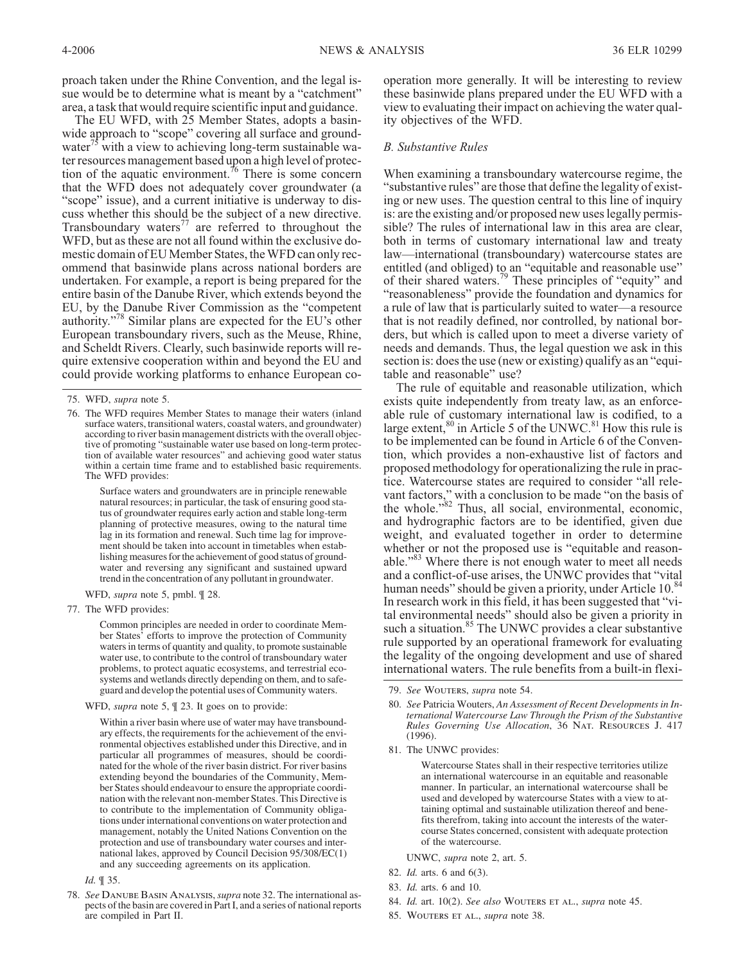proach taken under the Rhine Convention, and the legal issue would be to determine what is meant by a "catchment" area, a task that would require scientific input and guidance.

The EU WFD, with 25 Member States, adopts a basinwide approach to "scope" covering all surface and groundwater<sup>15</sup> with a view to achieving long-term sustainable water resources management based upon a high level of protection of the aquatic environment.<sup>76</sup> There is some concern that the WFD does not adequately cover groundwater (a "scope" issue), and a current initiative is underway to discuss whether this should be the subject of a new directive. Transboundary waters<sup>77</sup> are referred to throughout the WFD, but as these are not all found within the exclusive domestic domain of EU Member States, the WFD can only recommend that basinwide plans across national borders are undertaken. For example, a report is being prepared for the entire basin of the Danube River, which extends beyond the EU, by the Danube River Commission as the "competent authority."<sup>78</sup> Similar plans are expected for the EU's other European transboundary rivers, such as the Meuse, Rhine, and Scheldt Rivers. Clearly, such basinwide reports will require extensive cooperation within and beyond the EU and could provide working platforms to enhance European co-

Surface waters and groundwaters are in principle renewable natural resources; in particular, the task of ensuring good status of groundwater requires early action and stable long-term planning of protective measures, owing to the natural time lag in its formation and renewal. Such time lag for improvement should be taken into account in timetables when establishing measures for the achievement of good status of groundwater and reversing any significant and sustained upward trend in the concentration of any pollutant in groundwater.

WFD, *supra* note 5, pmbl. ¶ 28.

77. The WFD provides:

Common principles are needed in order to coordinate Member States' efforts to improve the protection of Community waters in terms of quantity and quality, to promote sustainable water use, to contribute to the control of transboundary water problems, to protect aquatic ecosystems, and terrestrial ecosystems and wetlands directly depending on them, and to safeguard and develop the potential uses of Community waters.

WFD, *supra* note 5, ¶ 23. It goes on to provide:

Within a river basin where use of water may have transboundary effects, the requirements for the achievement of the environmental objectives established under this Directive, and in particular all programmes of measures, should be coordinated for the whole of the river basin district. For river basins extending beyond the boundaries of the Community, Member States should endeavour to ensure the appropriate coordination with the relevant non-member States. This Directive is to contribute to the implementation of Community obligations under international conventions on water protection and management, notably the United Nations Convention on the protection and use of transboundary water courses and international lakes, approved by Council Decision 95/308/EC(1) and any succeeding agreements on its application.

*Id.* ¶ 35.

operation more generally. It will be interesting to review these basinwide plans prepared under the EU WFD with a view to evaluating their impact on achieving the water quality objectives of the WFD.

#### *B. Substantive Rules*

When examining a transboundary watercourse regime, the "substantive rules" are those that define the legality of existing or new uses. The question central to this line of inquiry is: are the existing and/or proposed new uses legally permissible? The rules of international law in this area are clear, both in terms of customary international law and treaty law—international (transboundary) watercourse states are entitled (and obliged) to an "equitable and reasonable use" of their shared waters.<sup>79</sup> These principles of "equity" and "reasonableness" provide the foundation and dynamics for a rule of law that is particularly suited to water—a resource that is not readily defined, nor controlled, by national borders, but which is called upon to meet a diverse variety of needs and demands. Thus, the legal question we ask in this section is: does the use (new or existing) qualify as an "equitable and reasonable" use?

The rule of equitable and reasonable utilization, which exists quite independently from treaty law, as an enforceable rule of customary international law is codified, to a large extent,  $80$  in Article 5 of the UNWC.  $81$  How this rule is to be implemented can be found in Article 6 of the Convention, which provides a non-exhaustive list of factors and proposed methodology for operationalizing the rule in practice. Watercourse states are required to consider "all relevant factors," with a conclusion to be made "on the basis of the whole."<sup>82</sup> Thus, all social, environmental, economic, and hydrographic factors are to be identified, given due weight, and evaluated together in order to determine whether or not the proposed use is "equitable and reasonable."<sup>83</sup> Where there is not enough water to meet all needs and a conflict-of-use arises, the UNWC provides that "vital human needs" should be given a priority, under Article 10.<sup>84</sup> In research work in this field, it has been suggested that "vital environmental needs" should also be given a priority in such a situation.<sup>85</sup> The UNWC provides a clear substantive rule supported by an operational framework for evaluating the legality of the ongoing development and use of shared international waters. The rule benefits from a built-in flexi-

- 80. *See* Patricia Wouters, *An Assessment of Recent Developments in International Watercourse Law Through the Prism of the Substantive Rules Governing Use Allocation*, 36 *Nat. Resources J.* 417 (1996).
- 81. The UNWC provides:

Watercourse States shall in their respective territories utilize an international watercourse in an equitable and reasonable manner. In particular, an international watercourse shall be used and developed by watercourse States with a view to attaining optimal and sustainable utilization thereof and benefits therefrom, taking into account the interests of the watercourse States concerned, consistent with adequate protection of the watercourse.

UNWC, *supra* note 2, art. 5.

- 82. *Id.* arts. 6 and 6(3).
- 83. *Id.* arts. 6 and 10.
- 84. *Id.* art. 10(2). *See also Wouters et al.*, *supra* note 45.
- 85. *Wouters et al.*, *supra* note 38.

<sup>75.</sup> WFD, *supra* note 5.

<sup>76.</sup> The WFD requires Member States to manage their waters (inland surface waters, transitional waters, coastal waters, and groundwater) according to river basin management districts with the overall objective of promoting "sustainable water use based on long-term protection of available water resources" and achieving good water status within a certain time frame and to established basic requirements. The WFD provides:

<sup>78.</sup> *See Danube Basin Analysis*,*supra* note 32. The international aspects of the basin are covered in Part I, and a series of national reports are compiled in Part II.

<sup>79.</sup> *See Wouters*, *supra* note 54.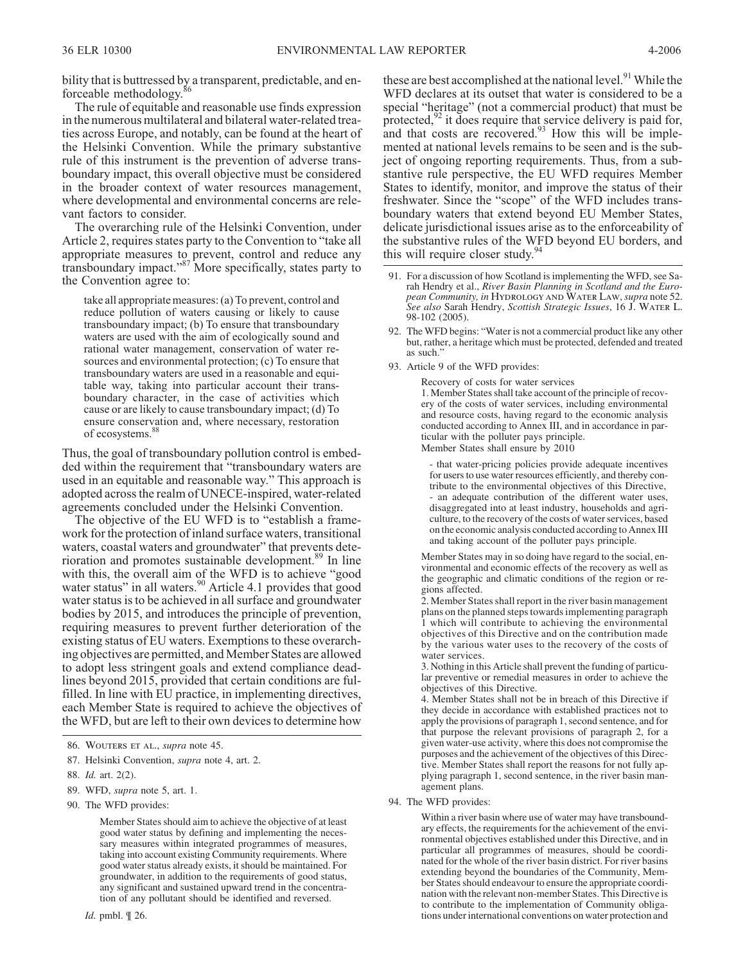bility that is buttressed by a transparent, predictable, and enforceable methodology.<sup>86</sup>

The rule of equitable and reasonable use finds expression in the numerous multilateral and bilateral water-related treaties across Europe, and notably, can be found at the heart of the Helsinki Convention. While the primary substantive rule of this instrument is the prevention of adverse transboundary impact, this overall objective must be considered in the broader context of water resources management, where developmental and environmental concerns are relevant factors to consider.

The overarching rule of the Helsinki Convention, under Article 2, requires states party to the Convention to "take all appropriate measures to prevent, control and reduce any transboundary impact."<sup>87</sup> More specifically, states party to the Convention agree to:

take all appropriate measures: (a) To prevent, control and reduce pollution of waters causing or likely to cause transboundary impact; (b) To ensure that transboundary waters are used with the aim of ecologically sound and rational water management, conservation of water resources and environmental protection; (c) To ensure that transboundary waters are used in a reasonable and equitable way, taking into particular account their transboundary character, in the case of activities which cause or are likely to cause transboundary impact; (d) To ensure conservation and, where necessary, restoration of ecosystems.

Thus, the goal of transboundary pollution control is embedded within the requirement that "transboundary waters are used in an equitable and reasonable way." This approach is adopted across the realm of UNECE-inspired, water-related agreements concluded under the Helsinki Convention.

The objective of the EU WFD is to "establish a framework for the protection of inland surface waters, transitional waters, coastal waters and groundwater" that prevents deterioration and promotes sustainable development.<sup>89</sup> In line with this, the overall aim of the WFD is to achieve "good water status" in all waters.<sup>90</sup> Article 4.1 provides that good water status is to be achieved in all surface and groundwater bodies by 2015, and introduces the principle of prevention, requiring measures to prevent further deterioration of the existing status of EU waters. Exemptions to these overarching objectives are permitted, and Member States are allowed to adopt less stringent goals and extend compliance deadlines beyond 2015, provided that certain conditions are fulfilled. In line with EU practice, in implementing directives, each Member State is required to achieve the objectives of the WFD, but are left to their own devices to determine how

- 89. WFD, *supra* note 5, art. 1.
- 90. The WFD provides:

Member States should aim to achieve the objective of at least good water status by defining and implementing the necessary measures within integrated programmes of measures, taking into account existing Community requirements. Where good water status already exists, it should be maintained. For groundwater, in addition to the requirements of good status, any significant and sustained upward trend in the concentration of any pollutant should be identified and reversed.

these are best accomplished at the national level.<sup>91</sup> While the WFD declares at its outset that water is considered to be a special "heritage" (not a commercial product) that must be protected,<sup>92</sup> it does require that service delivery is paid for, and that costs are recovered.<sup>93</sup> How this will be implemented at national levels remains to be seen and is the subject of ongoing reporting requirements. Thus, from a substantive rule perspective, the EU WFD requires Member States to identify, monitor, and improve the status of their freshwater. Since the "scope" of the WFD includes transboundary waters that extend beyond EU Member States, delicate jurisdictional issues arise as to the enforceability of the substantive rules of the WFD beyond EU borders, and this will require closer study.<sup>94</sup>

- 91. For a discussion of how Scotland is implementing the WFD, see Sa- rah Hendry et al., *River Basin Planning in Scotland and the Euro- pean Community, in Hydrology and Water Law*,*supra* note 52. *See also* Sarah Hendry, *Scottish Strategic Issues*, 16 *J. Water L.* 98-102 (2005).
- 92. The WFD begins: "Water is not a commercial product like any other but, rather, a heritage which must be protected, defended and treated as such."
- 93. Article 9 of the WFD provides:

Recovery of costs for water services 1. Member States shall take account of the principle of recovery of the costs of water services, including environmental and resource costs, having regard to the economic analysis conducted according to Annex III, and in accordance in particular with the polluter pays principle. Member States shall ensure by 2010

- that water-pricing policies provide adequate incentives for users to use water resources efficiently, and thereby contribute to the environmental objectives of this Directive, - an adequate contribution of the different water uses, disaggregated into at least industry, households and agriculture, to the recovery of the costs of water services, based on the economic analysis conducted according to Annex III and taking account of the polluter pays principle.

Member States may in so doing have regard to the social, environmental and economic effects of the recovery as well as the geographic and climatic conditions of the region or regions affected.

2. Member States shall report in the river basin management plans on the planned steps towards implementing paragraph 1 which will contribute to achieving the environmental objectives of this Directive and on the contribution made by the various water uses to the recovery of the costs of water services.

3. Nothing in this Article shall prevent the funding of particular preventive or remedial measures in order to achieve the objectives of this Directive.

4. Member States shall not be in breach of this Directive if they decide in accordance with established practices not to apply the provisions of paragraph 1, second sentence, and for that purpose the relevant provisions of paragraph 2, for a given water-use activity, where this does not compromise the purposes and the achievement of the objectives of this Directive. Member States shall report the reasons for not fully applying paragraph 1, second sentence, in the river basin management plans.

94. The WFD provides:

Within a river basin where use of water may have transboundary effects, the requirements for the achievement of the environmental objectives established under this Directive, and in particular all programmes of measures, should be coordinated for the whole of the river basin district. For river basins extending beyond the boundaries of the Community, Member States should endeavour to ensure the appropriate coordination with the relevant non-member States. This Directive is to contribute to the implementation of Community obligations under international conventions on water protection and

<sup>86.</sup> *Wouters et al.*, *supra* note 45.

<sup>87.</sup> Helsinki Convention, *supra* note 4, art. 2.

<sup>88.</sup> *Id.* art. 2(2).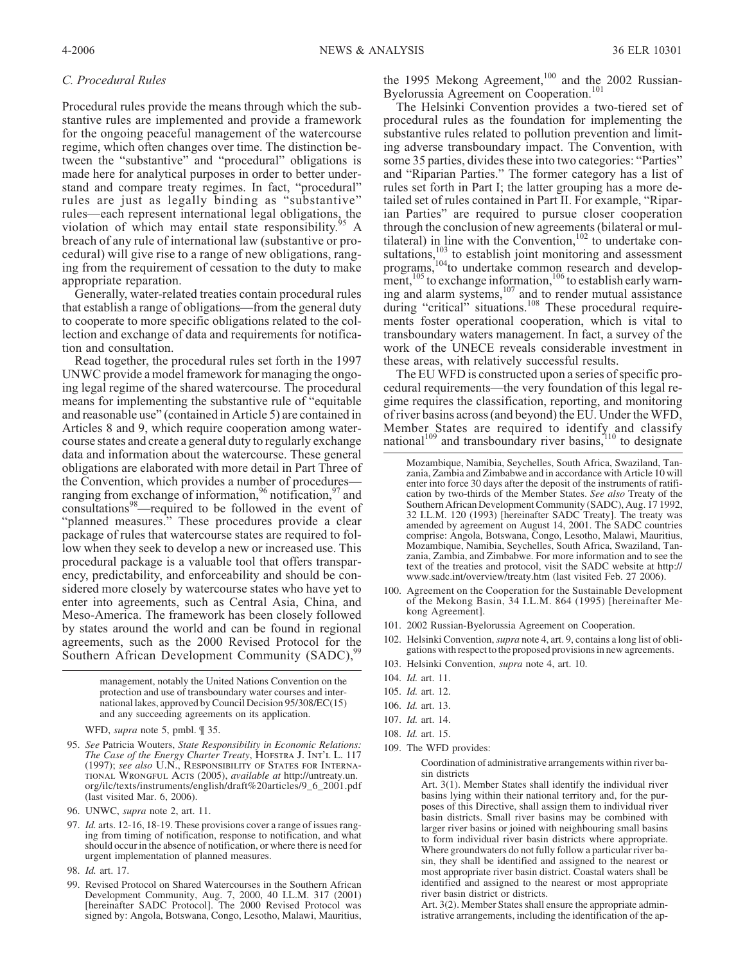## *C. Procedural Rules*

Procedural rules provide the means through which the substantive rules are implemented and provide a framework for the ongoing peaceful management of the watercourse regime, which often changes over time. The distinction between the "substantive" and "procedural" obligations is made here for analytical purposes in order to better understand and compare treaty regimes. In fact, "procedural" rules are just as legally binding as "substantive" rules—each represent international legal obligations, the violation of which may entail state responsibility.<sup>95</sup> A breach of any rule of international law (substantive or procedural) will give rise to a range of new obligations, ranging from the requirement of cessation to the duty to make appropriate reparation.

Generally, water-related treaties contain procedural rules that establish a range of obligations—from the general duty to cooperate to more specific obligations related to the collection and exchange of data and requirements for notification and consultation.

Read together, the procedural rules set forth in the 1997 UNWC provide a model framework for managing the ongoing legal regime of the shared watercourse. The procedural means for implementing the substantive rule of "equitable and reasonable use" (contained in Article 5) are contained in Articles 8 and 9, which require cooperation among watercourse states and create a general duty to regularly exchange data and information about the watercourse. These general obligations are elaborated with more detail in Part Three of the Convention, which provides a number of procedures ranging from exchange of information,  $96$  notification,  $97$  and consultations<sup>98</sup>—required to be followed in the event of "planned measures." These procedures provide a clear package of rules that watercourse states are required to follow when they seek to develop a new or increased use. This procedural package is a valuable tool that offers transparency, predictability, and enforceability and should be considered more closely by watercourse states who have yet to enter into agreements, such as Central Asia, China, and Meso-America. The framework has been closely followed by states around the world and can be found in regional agreements, such as the 2000 Revised Protocol for the Southern African Development Community (SADC),<sup>9</sup>

> management, notably the United Nations Convention on the protection and use of transboundary water courses and international lakes, approved by Council Decision 95/308/EC(15) and any succeeding agreements on its application.

WFD, *supra* note 5, pmbl. ¶ 35.

- 95. *See* Patricia Wouters, *State Responsibility in Economic Relations: The Case of the Energy Charter Treaty*, *Hofstra J. Int'l L.* 117 (1997); *see also U.N., Responsibility of States for International Wrongful Acts* (2005), *available at* http://untreaty.un. org/ilc/texts/instruments/english/draft%20articles/9\_6\_2001.pdf (last visited Mar. 6, 2006).
- 96. UNWC, *supra* note 2, art. 11.
- 97. *Id.* arts. 12-16, 18-19. These provisions cover a range of issues ranging from timing of notification, response to notification, and what should occur in the absence of notification, or where there is need for urgent implementation of planned measures.
- 98. *Id.* art. 17.
- 99. Revised Protocol on Shared Watercourses in the Southern African Development Community, Aug. 7, 2000, 40 I.L.M. 317 (2001) [hereinafter SADC Protocol]. The 2000 Revised Protocol was signed by: Angola, Botswana, Congo, Lesotho, Malawi, Mauritius,

the 1995 Mekong Agreement,<sup>100</sup> and the 2002 Russian-Byelorussia Agreement on Cooperation.<sup>101</sup>

The Helsinki Convention provides a two-tiered set of procedural rules as the foundation for implementing the substantive rules related to pollution prevention and limiting adverse transboundary impact. The Convention, with some 35 parties, divides these into two categories: "Parties" and "Riparian Parties." The former category has a list of rules set forth in Part I; the latter grouping has a more detailed set of rules contained in Part II. For example, "Riparian Parties" are required to pursue closer cooperation through the conclusion of new agreements (bilateral or multilateral) in line with the Convention, $102$  to undertake consultations, $\frac{103}{100}$  to establish joint monitoring and assessment programs,<sup>104</sup>to undertake common research and development,  $105$  to exchange information,  $106$  to establish early warning and alarm systems, $107$  and to render mutual assistance during "critical" situations.<sup>108</sup> These procedural requirements foster operational cooperation, which is vital to transboundary waters management. In fact, a survey of the work of the UNECE reveals considerable investment in these areas, with relatively successful results.

The EU WFD is constructed upon a series of specific procedural requirements—the very foundation of this legal regime requires the classification, reporting, and monitoring of river basins across (and beyond) the EU. Under the WFD, Member States are required to identify and classify national<sup>109</sup> and transboundary river basins,  $10^{\circ}$  to designate

- 100. Agreement on the Cooperation for the Sustainable Development of the Mekong Basin, 34 I.L.M. 864 (1995) [hereinafter Me-kong Agreement].
- 101. 2002 Russian-Byelorussia Agreement on Cooperation.
- 102. Helsinki Convention,*supra* note 4, art. 9, contains a long list of obli- gations with respect to the proposed provisions in new agreements.
- 103. Helsinki Convention, *supra* note 4, art. 10.
- 104. *Id.* art. 11.
- 105. *Id.* art. 12.
- 106. *Id.* art. 13.
- 107. *Id.* art. 14.
- 108. *Id.* art. 15.
- 109. The WFD provides:

Coordination of administrative arrangements within river basin districts

Art. 3(1). Member States shall identify the individual river basins lying within their national territory and, for the purposes of this Directive, shall assign them to individual river basin districts. Small river basins may be combined with larger river basins or joined with neighbouring small basins to form individual river basin districts where appropriate. Where groundwaters do not fully follow a particular river basin, they shall be identified and assigned to the nearest or most appropriate river basin district. Coastal waters shall be identified and assigned to the nearest or most appropriate river basin district or districts.

Art. 3(2). Member States shall ensure the appropriate administrative arrangements, including the identification of the ap-

Mozambique, Namibia, Seychelles, South Africa, Swaziland, Tanzania, Zambia and Zimbabwe and in accordance with Article 10 will enter into force 30 days after the deposit of the instruments of ratification by two-thirds of the Member States. *See also* Treaty of the Southern African Development Community (SADC), Aug. 17 1992, 32 I.L.M. 120 (1993) [hereinafter SADC Treaty]. The treaty was amended by agreement on August 14, 2001. The SADC countries comprise: Angola, Botswana, Congo, Lesotho, Malawi, Mauritius, zania, Zambia, and Zimbabwe. For more information and to see the text of the treaties and protocol, visit the SADC website at http:// www.sadc.int/overview/treaty.htm (last visited Feb. 27 2006).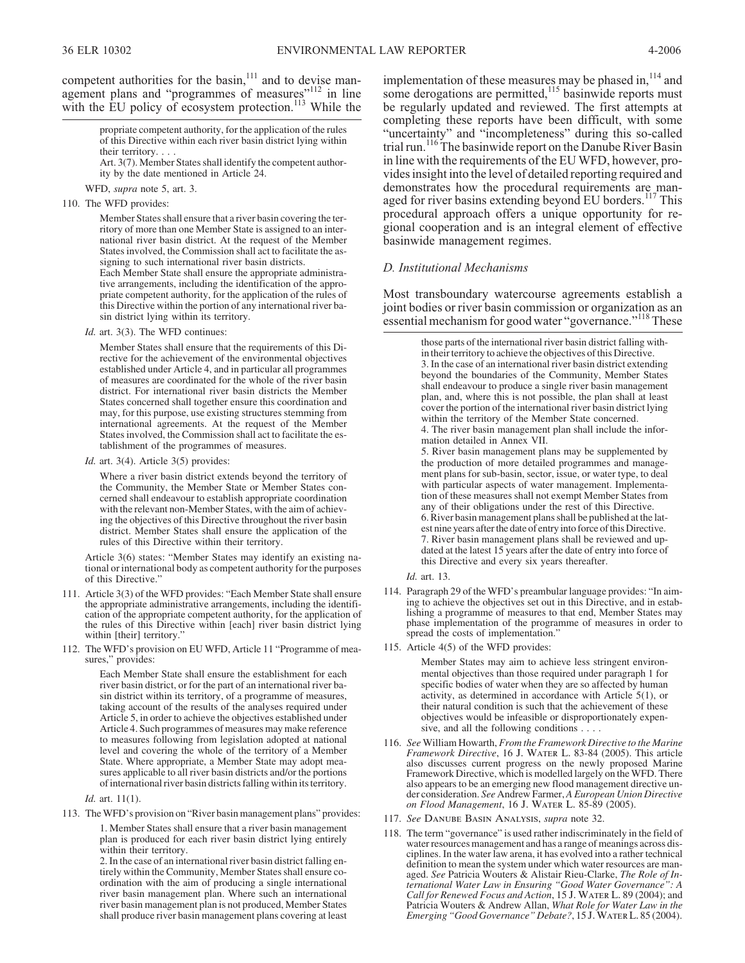competent authorities for the basin, $111$  and to devise management plans and "programmes of measures"<sup>112</sup> in line with the EU policy of ecosystem protection.<sup>113</sup> While the

> propriate competent authority, for the application of the rules of this Directive within each river basin district lying within their territory....

Art. 3(7). Member States shall identify the competent authority by the date mentioned in Article 24.

WFD, *supra* note 5, art. 3.

110. The WFD provides:

Member States shall ensure that a river basin covering the territory of more than one Member State is assigned to an international river basin district. At the request of the Member States involved, the Commission shall act to facilitate the assigning to such international river basin districts.

Each Member State shall ensure the appropriate administrative arrangements, including the identification of the appropriate competent authority, for the application of the rules of this Directive within the portion of any international river basin district lying within its territory.

*Id.* art. 3(3). The WFD continues:

Member States shall ensure that the requirements of this Directive for the achievement of the environmental objectives established under Article 4, and in particular all programmes of measures are coordinated for the whole of the river basin district. For international river basin districts the Member States concerned shall together ensure this coordination and may, for this purpose, use existing structures stemming from international agreements. At the request of the Member States involved, the Commission shall act to facilitate the establishment of the programmes of measures.

*Id.* art. 3(4). Article 3(5) provides:

Where a river basin district extends beyond the territory of the Community, the Member State or Member States concerned shall endeavour to establish appropriate coordination with the relevant non-Member States, with the aim of achieving the objectives of this Directive throughout the river basin district. Member States shall ensure the application of the rules of this Directive within their territory.

Article 3(6) states: "Member States may identify an existing national or international body as competent authority for the purposes of this Directive."

- 111. Article 3(3) of the WFD provides: "Each Member State shall ensure cation of the appropriate competent authority, for the application of the rules of this Directive within [each] river basin district lying within [their] territory."
- 112. The WFD's provision on EU WFD, Article 11 "Programme of measures," provides:

Each Member State shall ensure the establishment for each river basin district, or for the part of an international river basin district within its territory, of a programme of measures, taking account of the results of the analyses required under Article 5, in order to achieve the objectives established under Article 4. Such programmes of measures may make reference to measures following from legislation adopted at national level and covering the whole of the territory of a Member State. Where appropriate, a Member State may adopt measures applicable to all river basin districts and/or the portions of international river basin districts falling within its territory.

#### *Id.* art. 11(1).

113. TheWFD's provision on "River basin management plans" provides:

1. Member States shall ensure that a river basin management plan is produced for each river basin district lying entirely within their territory.

2. In the case of an international river basin district falling entirely within the Community, Member States shall ensure coordination with the aim of producing a single international river basin management plan. Where such an international river basin management plan is not produced, Member States shall produce river basin management plans covering at least implementation of these measures may be phased in,<sup>114</sup> and some derogations are permitted,<sup>115</sup> basinwide reports must be regularly updated and reviewed. The first attempts at completing these reports have been difficult, with some "uncertainty" and "incompleteness" during this so-called trial run.<sup>116</sup> The basinwide report on the Danube River Basin in line with the requirements of the EU WFD, however, provides insight into the level of detailed reporting required and demonstrates how the procedural requirements are managed for river basins extending beyond EU borders.<sup>117</sup> This procedural approach offers a unique opportunity for regional cooperation and is an integral element of effective basinwide management regimes.

## *D. Institutional Mechanisms*

Most transboundary watercourse agreements establish a joint bodies or river basin commission or organization as an essential mechanism for good water "governance."<sup>118</sup> These

> those parts of the international river basin district falling within their territory to achieve the objectives of this Directive. 3. In the case of an international river basin district extending beyond the boundaries of the Community, Member States shall endeavour to produce a single river basin management plan, and, where this is not possible, the plan shall at least cover the portion of the international river basin district lying within the territory of the Member State concerned. 4. The river basin management plan shall include the information detailed in Annex VII. 5. River basin management plans may be supplemented by the production of more detailed programmes and management plans for sub-basin, sector, issue, or water type, to deal with particular aspects of water management. Implementation of these measures shall not exempt Member States from any of their obligations under the rest of this Directive. 6. River basin management plans shall be published at the latest nine years after the date of entry into force of this Directive. 7. River basin management plans shall be reviewed and updated at the latest 15 years after the date of entry into force of this Directive and every six years thereafter.

*Id.* art. 13.

- 114. Paragraph 29 of the WFD's preambular language provides: "In aim- ing to achieve the objectives set out in this Directive, and in estab- lishing a programme of measures to that end, Member States may phase implementation of the programme of measures in order to spread the costs of implementation.'
- 115. Article 4(5) of the WFD provides:

Member States may aim to achieve less stringent environmental objectives than those required under paragraph 1 for specific bodies of water when they are so affected by human activity, as determined in accordance with Article 5(1), or their natural condition is such that the achievement of these objectives would be infeasible or disproportionately expensive, and all the following conditions . . . .

- 116. *See* William Howarth, *From the Framework Directive to the Marine Framework Directive*, 16 *J. Water L.* 83-84 (2005). This article also discusses current progress on the newly proposed Marine Framework Directive, which is modelled largely on the WFD. There also appears to be an emerging new flood management directive under consideration. *See* Andrew Farmer, *A European Union Directive on Flood Management*, 16 *J. Water L.* 85-89 (2005).
- 117. *See Danube Basin Analysis*, *supra* note 32.
- 118. The term "governance" is used rather indiscriminately in the field of water resources management and has a range of meanings across disciplines. In the water law arena, it has evolved into a rather technical definition to mean the system under which water resources are managed. *See* Patricia Wouters & Alistair Rieu-Clarke, *The Role of International Water Law in Ensuring "Good Water Governance": A Call for Renewed Focus and Action*, 15 *J. Water L.* 89 (2004); and Patricia Wouters & Andrew Allan, *What Role for Water Law in the Emerging "Good Governance" Debate?*, 15 *J.Water L.* 85 (2004).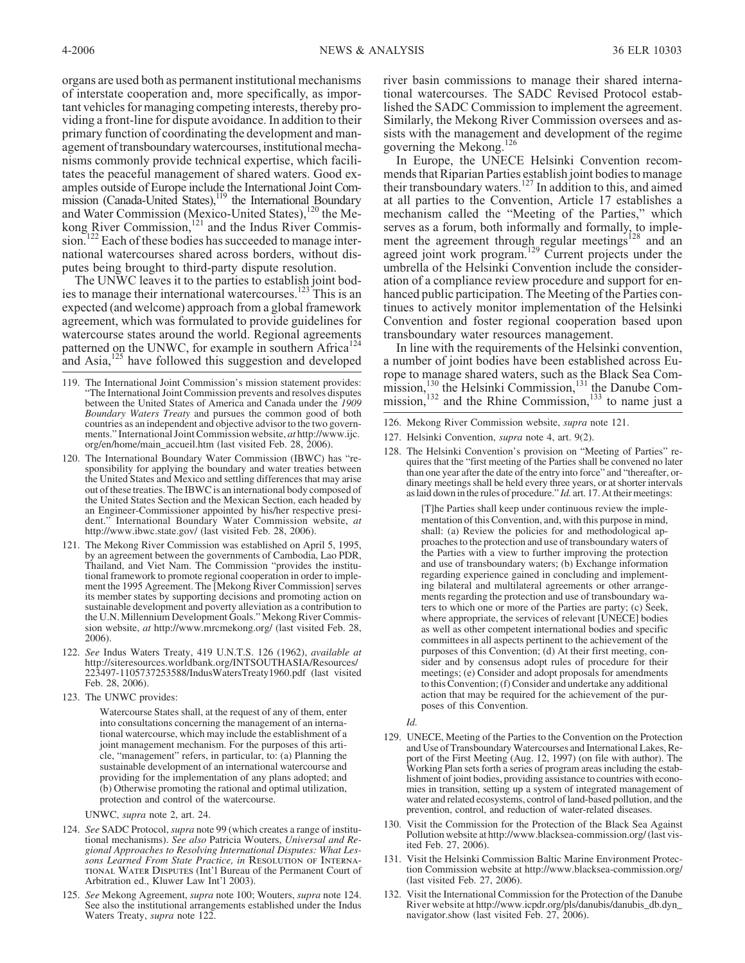organs are used both as permanent institutional mechanisms of interstate cooperation and, more specifically, as important vehicles for managing competing interests, thereby providing a front-line for dispute avoidance. In addition to their primary function of coordinating the development and management of transboundary watercourses, institutional mechanisms commonly provide technical expertise, which facilitates the peaceful management of shared waters. Good examples outside of Europe include the International Joint Commission (Canada-United States),<sup>119</sup> the International Boundary and Water Commission (Mexico-United States),<sup>120</sup> the Mekong River Commission, $121$  and the Indus River Commission.<sup>122</sup> Each of these bodies has succeeded to manage international watercourses shared across borders, without disputes being brought to third-party dispute resolution.

The UNWC leaves it to the parties to establish joint bodies to manage their international watercourses.<sup>123</sup> This is an expected (and welcome) approach from a global framework agreement, which was formulated to provide guidelines for watercourse states around the world. Regional agreements patterned on the UNWC, for example in southern Africa<sup>124</sup> and Asia,<sup>125</sup> have followed this suggestion and developed

- 119. The International Joint Commission's mission statement provides: "The International Joint Commission prevents and resolves disputes between the United States of America and Canada under the *1909 Boundary Waters Treaty* and pursues the common good of both countries as an independent and objective advisor to the two governments." International Joint Commission website, *at* http://www.ijc. org/en/home/main\_accueil.htm (last visited Feb. 28, 2006).
- 120. The International Boundary Water Commission (IBWC) has "responsibility for applying the boundary and water treaties between the United States and Mexico and settling differences that may arise out of these treaties. The IBWC is an international body composed of the United States Section and the Mexican Section, each headed by an Engineer-Commissioner appointed by his/her respective president." International Boundary Water Commission website, *at* http://www.ibwc.state.gov/ (last visited Feb. 28, 2006).
- 121. The Mekong River Commission was established on April 5, 1995, by an agreement between the governments of Cambodia, Lao PDR, Thailand, and Viet Nam. The Commission "provides the institu- tional framework to promote regional cooperation in order to imple- ment the 1995 Agreement. The [Mekong River Commission] serves its member states by supporting decisions and promoting action on sustainable development and poverty alleviation as a contribution to the U.N. Millennium Development Goals." Mekong River Commis- sion website, *at* http://www.mrcmekong.org/ (last visited Feb. 28, 2006).
- 122. *See* Indus Waters Treaty, 419 U.N.T.S. 126 (1962), *available at* http://siteresources.worldbank.org/INTSOUTHASIA/Resources/ 223497-1105737253588/IndusWatersTreaty1960.pdf (last visited Feb. 28, 2006).
- 123. The UNWC provides:

Watercourse States shall, at the request of any of them, enter into consultations concerning the management of an international watercourse, which may include the establishment of a joint management mechanism. For the purposes of this article, "management" refers, in particular, to: (a) Planning the sustainable development of an international watercourse and providing for the implementation of any plans adopted; and (b) Otherwise promoting the rational and optimal utilization, protection and control of the watercourse.

UNWC, *supra* note 2, art. 24.

- 124. *See* SADC Protocol, *supra* note 99 (which creates a range of institutional mechanisms). *See also* Patricia Wouters, *Universal and Regional Approaches to Resolving International Disputes: What Lessons Learned From State Practice, in Resolution of International Water Disputes* (Int'l Bureau of the Permanent Court of Arbitration ed., Kluwer Law Int'l 2003).
- 125. *See* Mekong Agreement, *supra* note 100; Wouters, *supra* note 124. See also the institutional arrangements established under the Indus Waters Treaty, *supra* note 122.

river basin commissions to manage their shared international watercourses. The SADC Revised Protocol established the SADC Commission to implement the agreement. Similarly, the Mekong River Commission oversees and assists with the management and development of the regime governing the Mekong.<sup>126</sup>

In Europe, the UNECE Helsinki Convention recommends that Riparian Parties establish joint bodies to manage their transboundary waters.<sup>127</sup> In addition to this, and aimed at all parties to the Convention, Article 17 establishes a mechanism called the "Meeting of the Parties," which serves as a forum, both informally and formally, to implement the agreement through regular meetings<sup>128</sup> and an agreed joint work program.<sup>129</sup> Current projects under the umbrella of the Helsinki Convention include the consideration of a compliance review procedure and support for enhanced public participation. The Meeting of the Parties continues to actively monitor implementation of the Helsinki Convention and foster regional cooperation based upon transboundary water resources management.

In line with the requirements of the Helsinki convention, a number of joint bodies have been established across Europe to manage shared waters, such as the Black Sea Commission,  $^{130}$  the Helsinki Commission,  $^{131}$  the Danube Commission,  $132$  and the Rhine Commission,  $133$  to name just a

- 126. Mekong River Commission website, *supra* note 121.
- 127. Helsinki Convention, *supra* note 4, art. 9(2).
- 128. The Helsinki Convention's provision on "Meeting of Parties" requires that the "first meeting of the Parties shall be convened no later than one year after the date of the entry into force" and "thereafter, ordinary meetings shall be held every three years, or at shorter intervals as laid down in the rules of procedure." *Id.* art. 17. At their meetings:

[T]he Parties shall keep under continuous review the implementation of this Convention, and, with this purpose in mind, shall: (a) Review the policies for and methodological approaches to the protection and use of transboundary waters of the Parties with a view to further improving the protection and use of transboundary waters; (b) Exchange information regarding experience gained in concluding and implementing bilateral and multilateral agreements or other arrangements regarding the protection and use of transboundary waters to which one or more of the Parties are party; (c) Seek, where appropriate, the services of relevant [UNECE] bodies as well as other competent international bodies and specific committees in all aspects pertinent to the achievement of the purposes of this Convention; (d) At their first meeting, consider and by consensus adopt rules of procedure for their meetings; (e) Consider and adopt proposals for amendments to this Convention; (f) Consider and undertake any additional action that may be required for the achievement of the purposes of this Convention.

*Id.*

- 129. UNECE, Meeting of the Parties to the Convention on the Protection and Use of Transboundary Watercourses and International Lakes, Report of the First Meeting (Aug. 12, 1997) (on file with author). The Working Plan sets forth a series of program areas including the establishment of joint bodies, providing assistance to countries with economies in transition, setting up a system of integrated management of water and related ecosystems, control of land-based pollution, and the prevention, control, and reduction of water-related diseases.
- 130. Visit the Commission for the Protection of the Black Sea Against Pollution website at http://www.blacksea-commission.org/ (last visited Feb. 27, 2006).
- 131. Visit the Helsinki Commission Baltic Marine Environment Protection Commission website at http://www.blacksea-commission.org/ (last visited Feb. 27, 2006).
- 132. Visit the International Commission for the Protection of the Danube River website at http://www.icpdr.org/pls/danubis/danubis\_db.dyn\_ navigator.show (last visited Feb. 27, 2006).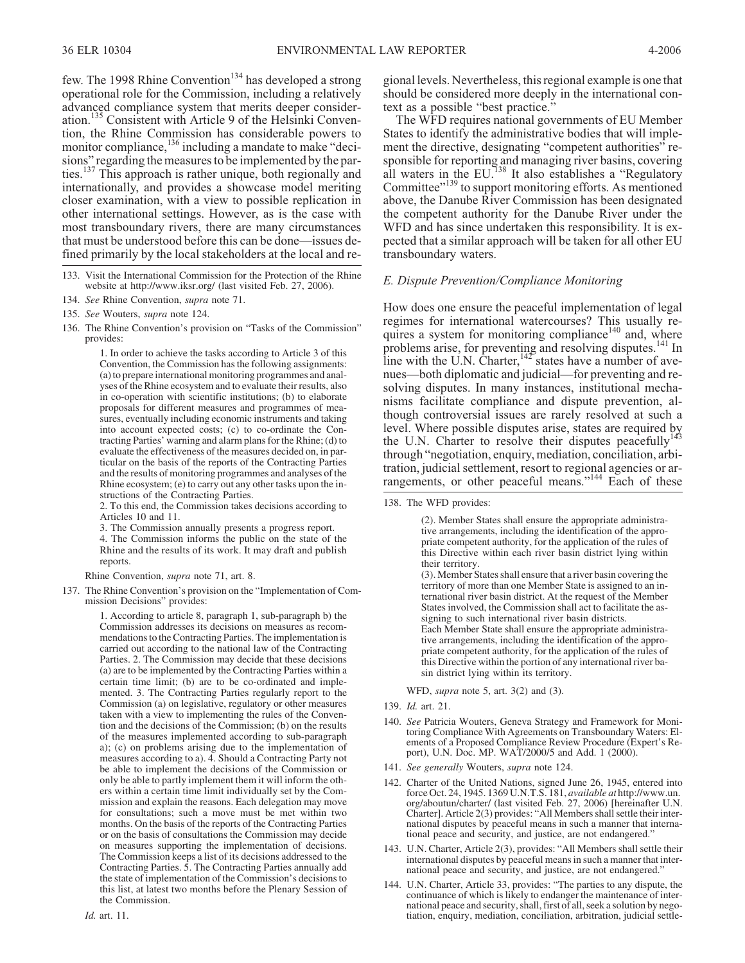few. The 1998 Rhine Convention<sup>134</sup> has developed a strong operational role for the Commission, including a relatively advanced compliance system that merits deeper consideration.<sup>135</sup> Consistent with Article 9 of the Helsinki Convention, the Rhine Commission has considerable powers to monitor compliance,<sup>136</sup> including a mandate to make "decisions" regarding the measures to be implemented by the parties.<sup>137</sup> This approach is rather unique, both regionally and internationally, and provides a showcase model meriting closer examination, with a view to possible replication in other international settings. However, as is the case with most transboundary rivers, there are many circumstances that must be understood before this can be done—issues defined primarily by the local stakeholders at the local and re-

1. In order to achieve the tasks according to Article 3 of this Convention, the Commission has the following assignments: (a) to prepare international monitoring programmes and analyses of the Rhine ecosystem and to evaluate their results, also in co-operation with scientific institutions; (b) to elaborate proposals for different measures and programmes of measures, eventually including economic instruments and taking into account expected costs; (c) to co-ordinate the Contracting Parties' warning and alarm plans for the Rhine; (d) to evaluate the effectiveness of the measures decided on, in particular on the basis of the reports of the Contracting Parties and the results of monitoring programmes and analyses of the Rhine ecosystem; (e) to carry out any other tasks upon the instructions of the Contracting Parties.

2. To this end, the Commission takes decisions according to Articles 10 and 11.

3. The Commission annually presents a progress report.

4. The Commission informs the public on the state of the Rhine and the results of its work. It may draft and publish reports.

Rhine Convention, *supra* note 71, art. 8.

137. The Rhine Convention's provision on the "Implementation of Com- mission Decisions" provides:

1. According to article 8, paragraph 1, sub-paragraph b) the Commission addresses its decisions on measures as recommendations to the Contracting Parties. The implementation is carried out according to the national law of the Contracting Parties. 2. The Commission may decide that these decisions (a) are to be implemented by the Contracting Parties within a certain time limit; (b) are to be co-ordinated and implemented. 3. The Contracting Parties regularly report to the Commission (a) on legislative, regulatory or other measures taken with a view to implementing the rules of the Convention and the decisions of the Commission; (b) on the results of the measures implemented according to sub-paragraph a); (c) on problems arising due to the implementation of measures according to a). 4. Should a Contracting Party not be able to implement the decisions of the Commission or only be able to partly implement them it will inform the others within a certain time limit individually set by the Commission and explain the reasons. Each delegation may move for consultations; such a move must be met within two months. On the basis of the reports of the Contracting Parties or on the basis of consultations the Commission may decide on measures supporting the implementation of decisions. The Commission keeps a list of its decisions addressed to the Contracting Parties. 5. The Contracting Parties annually add the state of implementation of the Commission's decisions to this list, at latest two months before the Plenary Session of the Commission.

gional levels. Nevertheless, this regional example is one that should be considered more deeply in the international context as a possible "best practice."

The WFD requires national governments of EU Member States to identify the administrative bodies that will implement the directive, designating "competent authorities" responsible for reporting and managing river basins, covering all waters in the EU.<sup>138</sup> It also establishes a "Regulatory Committee"<sup>139</sup> to support monitoring efforts. As mentioned above, the Danube River Commission has been designated the competent authority for the Danube River under the WFD and has since undertaken this responsibility. It is expected that a similar approach will be taken for all other EU transboundary waters.

#### *E. Dispute Prevention/Compliance Monitoring*

How does one ensure the peaceful implementation of legal regimes for international watercourses? This usually requires a system for monitoring compliance<sup>140</sup> and, where problems arise, for preventing and resolving disputes.<sup>141</sup> In line with the U.N. Charter,  $142^{\circ}$  states have a number of avenues—both diplomatic and judicial—for preventing and resolving disputes. In many instances, institutional mechanisms facilitate compliance and dispute prevention, although controversial issues are rarely resolved at such a level. Where possible disputes arise, states are required by the U.N. Charter to resolve their disputes peacefully<sup>143</sup> through "negotiation, enquiry, mediation, conciliation, arbitration, judicial settlement, resort to regional agencies or arrangements, or other peaceful means."<sup>144</sup> Each of these

138. The WFD provides:

(2). Member States shall ensure the appropriate administrative arrangements, including the identification of the appropriate competent authority, for the application of the rules of this Directive within each river basin district lying within their territory.

(3). Member States shall ensure that a river basin covering the territory of more than one Member State is assigned to an international river basin district. At the request of the Member States involved, the Commission shall act to facilitate the assigning to such international river basin districts.

Each Member State shall ensure the appropriate administrative arrangements, including the identification of the appropriate competent authority, for the application of the rules of this Directive within the portion of any international river basin district lying within its territory.

WFD, *supra* note 5, art. 3(2) and (3).

- 139. *Id.* art. 21.
- 140. *See* Patricia Wouters, Geneva Strategy and Framework for Monitoring Compliance With Agreements on Transboundary Waters: Elements of a Proposed Compliance Review Procedure (Expert's Report), U.N. Doc. MP. WAT/2000/5 and Add. 1 (2000).
- 141. *See generally* Wouters, *supra* note 124.
- 142. Charter of the United Nations, signed June 26, 1945, entered into force Oct. 24, 1945. 1369 U.N.T.S. 181, *available at* http://www.un. org/aboutun/charter/ (last visited Feb. 27, 2006) [hereinafter U.N. Charter]. Article 2(3) provides: "All Members shall settle their international disputes by peaceful means in such a manner that international peace and security, and justice, are not endangered.
- 143. U.N. Charter, Article 2(3), provides: "All Members shall settle their international disputes by peaceful means in such a manner that international peace and security, and justice, are not endangered."
- 144. U.N. Charter, Article 33, provides: "The parties to any dispute, the continuance of which is likely to endanger the maintenance of international peace and security, shall, first of all, seek a solution by negotiation, enquiry, mediation, conciliation, arbitration, judicial settle-

<sup>133.</sup> Visit the International Commission for the Protection of the Rhine website at http://www.iksr.org/ (last visited Feb. 27, 2006).

<sup>134.</sup> *See* Rhine Convention, *supra* note 71.

<sup>135.</sup> *See* Wouters, *supra* note 124.

<sup>136.</sup> The Rhine Convention's provision on "Tasks of the Commission" provides: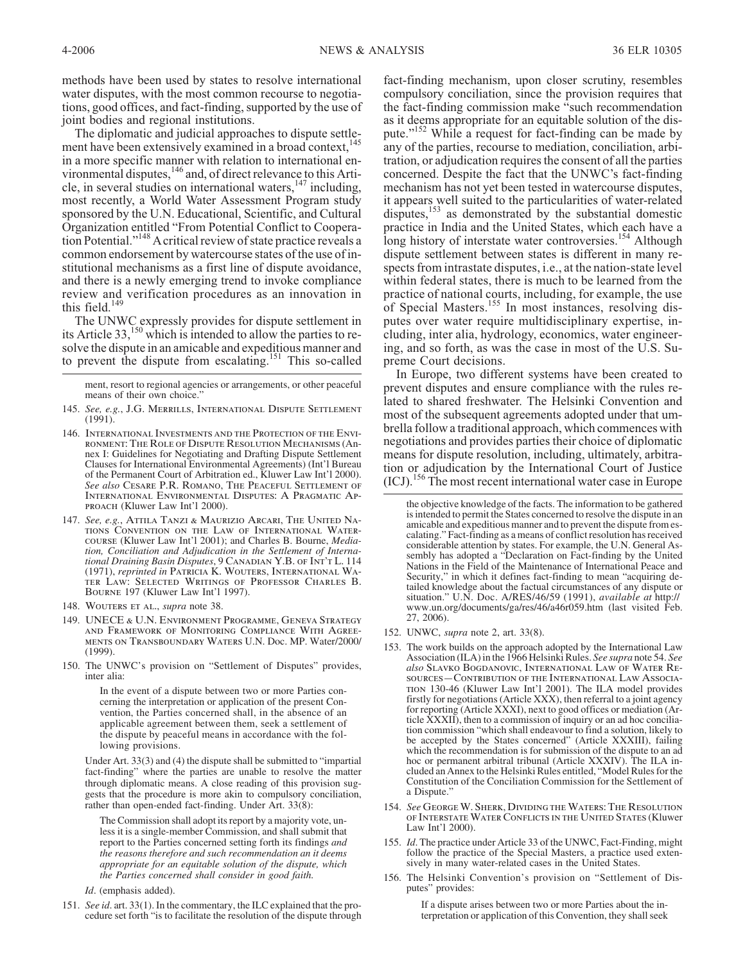methods have been used by states to resolve international water disputes, with the most common recourse to negotiations, good offices, and fact-finding, supported by the use of joint bodies and regional institutions.

The diplomatic and judicial approaches to dispute settlement have been extensively examined in a broad context.<sup>145</sup> in a more specific manner with relation to international environmental disputes, <sup>146</sup> and, of direct relevance to this Article, in several studies on international waters,  $147$  including, most recently, a World Water Assessment Program study sponsored by the U.N. Educational, Scientific, and Cultural Organization entitled "From Potential Conflict to Cooperation Potential."<sup>148</sup> A critical review of state practice reveals a common endorsement by watercourse states of the use of institutional mechanisms as a first line of dispute avoidance, and there is a newly emerging trend to invoke compliance review and verification procedures as an innovation in this field. $149$ 

The UNWC expressly provides for dispute settlement in its Article 33,<sup>150</sup> which is intended to allow the parties to resolve the dispute in an amicable and expeditious manner and to prevent the dispute from escalating.<sup>151</sup> This so-called

ment, resort to regional agencies or arrangements, or other peaceful means of their own choice.

- 146. *International Investments and the Protection of the Environment: The Role of Dispute Resolution Mechanisms* (Annex I: Guidelines for Negotiating and Drafting Dispute Settlement Clauses for International Environmental Agreements) (Int'l Bureau of the Permanent Court of Arbitration ed., Kluwer Law Int'l 2000). *See also Cesare P.R. Romano, The Peaceful Settlement of International Environmental Disputes: A Pragmatic Approach* (Kluwer Law Int'l 2000).
- 147. *See, e.g.*, *Attila Tanzi & Maurizio Arcari, The United Nations Convention on the Law of International Watercourse* (Kluwer Law Int'l 2001); and Charles B. Bourne, *Mediational Draining Basin Disputes, 9 CANADIAN Y.B. OF INT'T L. 114* (1971), *reprinted in Patricia K. Wouters, International Wa- ter Law: Selected Writings of Professor Charles B. Bourne* 197 (Kluwer Law Int'l 1997).
- 148. *Wouters et al.*, *supra* note 38.
- 149. *UNECE & U.N. Environment Programme, Geneva Strategy and Framework of Monitoring Compliance With Agree- ments on Transboundary Waters* U.N. Doc. MP. Water/2000/ (1999).
- 150. The UNWC's provision on "Settlement of Disputes" provides, inter alia:

In the event of a dispute between two or more Parties concerning the interpretation or application of the present Convention, the Parties concerned shall, in the absence of an applicable agreement between them, seek a settlement of the dispute by peaceful means in accordance with the following provisions.

Under Art. 33(3) and (4) the dispute shall be submitted to "impartial fact-finding" where the parties are unable to resolve the matter through diplomatic means. A close reading of this provision suggests that the procedure is more akin to compulsory conciliation, rather than open-ended fact-finding. Under Art. 33(8):

The Commission shall adopt its report by a majority vote, unless it is a single-member Commission, and shall submit that report to the Parties concerned setting forth its findings *and the reasons therefore and such recommendation an it deems appropriate for an equitable solution of the dispute, which the Parties concerned shall consider in good faith.*

*Id*. (emphasis added).

151. *See id*. art. 33(1). In the commentary, the ILC explained that the procedure set forth "is to facilitate the resolution of the dispute through

fact-finding mechanism, upon closer scrutiny, resembles compulsory conciliation, since the provision requires that the fact-finding commission make "such recommendation as it deems appropriate for an equitable solution of the dispute."<sup>152</sup> While a request for fact-finding can be made by any of the parties, recourse to mediation, conciliation, arbitration, or adjudication requires the consent of all the parties concerned. Despite the fact that the UNWC's fact-finding mechanism has not yet been tested in watercourse disputes, it appears well suited to the particularities of water-related disputes,<sup>153</sup> as demonstrated by the substantial domestic practice in India and the United States, which each have a long history of interstate water controversies.<sup>154</sup> Although dispute settlement between states is different in many respects from intrastate disputes, i.e., at the nation-state level within federal states, there is much to be learned from the practice of national courts, including, for example, the use of Special Masters.<sup>155</sup> In most instances, resolving disputes over water require multidisciplinary expertise, including, inter alia, hydrology, economics, water engineering, and so forth, as was the case in most of the U.S. Supreme Court decisions.

In Europe, two different systems have been created to prevent disputes and ensure compliance with the rules related to shared freshwater. The Helsinki Convention and most of the subsequent agreements adopted under that umbrella follow a traditional approach, which commences with negotiations and provides parties their choice of diplomatic means for dispute resolution, including, ultimately, arbitration or adjudication by the International Court of Justice  $\frac{156}{10}$ .<sup>156</sup> The most recent international water case in Europe

- 152. UNWC, *supra* note 2, art. 33(8).
- 153. The work builds on the approach adopted by the International Law Association (ILA) in the 1966 Helsinki Rules. *See supra* note 54. *See also Slavko Bogdanovic, International Law of Water Resources—Contribution of the International Law Association* 130-46 (Kluwer Law Int'l 2001). The ILA model provides firstly for negotiations (Article XXX), then referral to a joint agency for reporting (Article XXXI), next to good offices or mediation (Article XXXII), then to a commission of inquiry or an ad hoc conciliation commission "which shall endeavour to find a solution, likely to be accepted by the States concerned" (Article XXXIII), failing which the recommendation is for submission of the dispute to an ad hoc or permanent arbitral tribunal (Article XXXIV). The ILA included an Annex to the Helsinki Rules entitled, "Model Rules for the Constitution of the Conciliation Commission for the Settlement of a Dispute."
- 154. *See George W. Sherk, Dividing the Waters: The Resolution of Interstate Water Conflicts in the United States* (Kluwer Law Int'l 2000).
- 155. *Id*. The practice under Article 33 of the UNWC, Fact-Finding, might follow the practice of the Special Masters, a practice used extensively in many water-related cases in the United States.
- 156. The Helsinki Convention's provision on "Settlement of Disputes" provides:

If a dispute arises between two or more Parties about the interpretation or application of this Convention, they shall seek

<sup>145.</sup> *See, e.g.*, *J.G. Merrills, International Dispute Settlement* (1991).

the objective knowledge of the facts. The information to be gathered is intended to permit the States concerned to resolve the dispute in an amicable and expeditious manner and to prevent the dispute from escalating." Fact-finding as a means of conflict resolution has received sembly has adopted a "Declaration on Fact-finding by the United Nations in the Field of the Maintenance of International Peace and Security," in which it defines fact-finding to mean "acquiring detailed knowledge about the factual circumstances of any dispute or situation." U.N. Doc. A/RES/46/59 (1991), *available at* http:// www.un.org/documents/ga/res/46/a46r059.htm (last visited Feb. 27, 2006).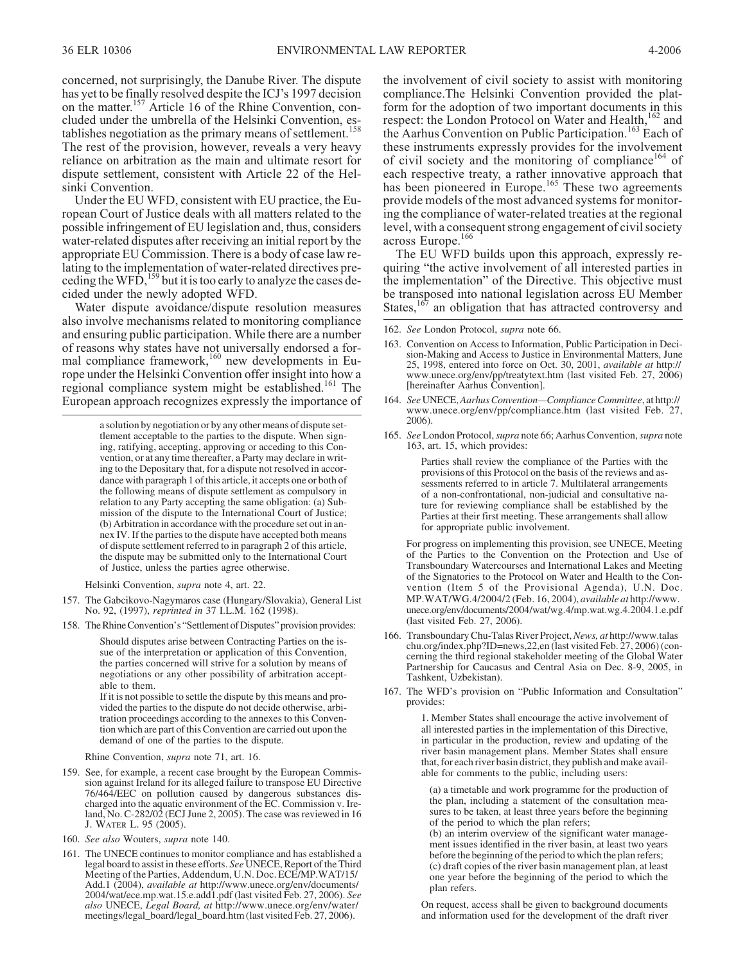concerned, not surprisingly, the Danube River. The dispute has yet to be finally resolved despite the ICJ's 1997 decision on the matter.<sup>157</sup> Article 16 of the Rhine Convention, concluded under the umbrella of the Helsinki Convention, establishes negotiation as the primary means of settlement.<sup>158</sup> The rest of the provision, however, reveals a very heavy reliance on arbitration as the main and ultimate resort for dispute settlement, consistent with Article 22 of the Helsinki Convention.

Under the EU WFD, consistent with EU practice, the European Court of Justice deals with all matters related to the possible infringement of EU legislation and, thus, considers water-related disputes after receiving an initial report by the appropriate EU Commission. There is a body of case law relating to the implementation of water-related directives preceding the WFD,<sup>159</sup> but it is too early to analyze the cases decided under the newly adopted WFD.

Water dispute avoidance/dispute resolution measures also involve mechanisms related to monitoring compliance and ensuring public participation. While there are a number of reasons why states have not universally endorsed a formal compliance framework,<sup>160</sup> new developments in Europe under the Helsinki Convention offer insight into how a regional compliance system might be established.<sup>161</sup> The European approach recognizes expressly the importance of

> a solution by negotiation or by any other means of dispute settlement acceptable to the parties to the dispute. When signing, ratifying, accepting, approving or acceding to this Convention, or at any time thereafter, a Party may declare in writing to the Depositary that, for a dispute not resolved in accordance with paragraph 1 of this article, it accepts one or both of the following means of dispute settlement as compulsory in relation to any Party accepting the same obligation: (a) Submission of the dispute to the International Court of Justice; (b) Arbitration in accordance with the procedure set out in annex IV. If the parties to the dispute have accepted both means of dispute settlement referred to in paragraph 2 of this article, the dispute may be submitted only to the International Court of Justice, unless the parties agree otherwise.

Helsinki Convention, *supra* note 4, art. 22.

- 157. The Gabcikovo-Nagymaros case (Hungary/Slovakia), General List No. 92, (1997), *reprinted in* 37 I.L.M. 162 (1998).
- 158. TheRhineConvention's "Settlement of Disputes" provision provides:

Should disputes arise between Contracting Parties on the issue of the interpretation or application of this Convention, the parties concerned will strive for a solution by means of negotiations or any other possibility of arbitration acceptable to them.

If it is not possible to settle the dispute by this means and provided the parties to the dispute do not decide otherwise, arbitration proceedings according to the annexes to this Convention which are part of this Convention are carried out upon the demand of one of the parties to the dispute.

Rhine Convention, *supra* note 71, art. 16.

- 159. See, for example, a recent case brought by the European Commission against Ireland for its alleged failure to transpose EU Directive 76/464/EEC on pollution caused by dangerous substances discharged into the aquatic environment of the EC. Commission v. Ireland, No. C-282/02 (ECJ June 2, 2005). The case was reviewed in 16 *J. Water L.* 95 (2005).
- 160. *See also* Wouters, *supra* note 140.
- 161. The UNECE continues to monitor compliance and has established a legal board to assist in these efforts. *See* UNECE, Report of the Third Meeting of the Parties, Addendum, U.N. Doc.ECE/MP.WAT/15/ Add.1 (2004), *available at* http://www.unece.org/env/documents/ 2004/wat/ece.mp.wat.15.e.add1.pdf (last visited Feb. 27, 2006). *See also* UNECE, *Legal Board, at* http://www.unece.org/env/water/ meetings/legal\_board/legal\_board.htm (last visited Feb. 27, 2006).

the involvement of civil society to assist with monitoring compliance.The Helsinki Convention provided the platform for the adoption of two important documents in this respect: the London Protocol on Water and Health,<sup>162</sup> and the Aarhus Convention on Public Participation.<sup>163</sup> Each of these instruments expressly provides for the involvement of civil society and the monitoring of compliance<sup>164</sup> of each respective treaty, a rather innovative approach that has been pioneered in Europe.<sup>165</sup> These two agreements provide models of the most advanced systems for monitoring the compliance of water-related treaties at the regional level, with a consequent strong engagement of civil society across Europe.<sup>166</sup>

The EU WFD builds upon this approach, expressly requiring "the active involvement of all interested parties in the implementation" of the Directive. This objective must be transposed into national legislation across EU Member States, $167$  an obligation that has attracted controversy and

162. *See* London Protocol, *supra* note 66.

- 163. Convention on Access to Information, Public Participation in Deci- sion-Making and Access to Justice in Environmental Matters, June 25, 1998, entered into force on Oct. 30, 2001, *available at* http:// www.unece.org/env/pp/treatytext.htm (last visited Feb. 27, 2006) [hereinafter Aarhus Convention].
- 164. *See*UNECE,*Aarhus Convention—ComplianceCommittee*, at http:// www.unece.org/env/pp/compliance.htm (last visited Feb. 27, 2006).
- 165. *See* London Protocol,*supra* note 66; Aarhus Convention,*supra* note 163, art. 15, which provides:

Parties shall review the compliance of the Parties with the provisions of this Protocol on the basis of the reviews and assessments referred to in article 7. Multilateral arrangements of a non-confrontational, non-judicial and consultative nature for reviewing compliance shall be established by the Parties at their first meeting. These arrangements shall allow for appropriate public involvement.

For progress on implementing this provision, see UNECE, Meeting of the Parties to the Convention on the Protection and Use of Transboundary Watercourses and International Lakes and Meeting of the Signatories to the Protocol on Water and Health to the Convention (Item 5 of the Provisional Agenda), U.N. Doc. MP.WAT/WG.4/2004/2 (Feb. 16, 2004), *available at* http://www. unece.org/env/documents/2004/wat/wg.4/mp.wat.wg.4.2004.1.e.pdf (last visited Feb. 27, 2006).

- 166. Transboundary Chu-Talas River Project,*News, at* http://www.talas cerning the third regional stakeholder meeting of the Global Water Partnership for Caucasus and Central Asia on Dec. 8-9, 2005, in Tashkent, Uzbekistan).
- 167. The WFD's provision on "Public Information and Consultation" provides:

1. Member States shall encourage the active involvement of all interested parties in the implementation of this Directive, in particular in the production, review and updating of the river basin management plans. Member States shall ensure that, for each river basin district, they publish and make available for comments to the public, including users:

(a) a timetable and work programme for the production of the plan, including a statement of the consultation measures to be taken, at least three years before the beginning of the period to which the plan refers;

(b) an interim overview of the significant water management issues identified in the river basin, at least two years before the beginning of the period to which the plan refers; (c) draft copies of the river basin management plan, at least one year before the beginning of the period to which the plan refers.

On request, access shall be given to background documents and information used for the development of the draft river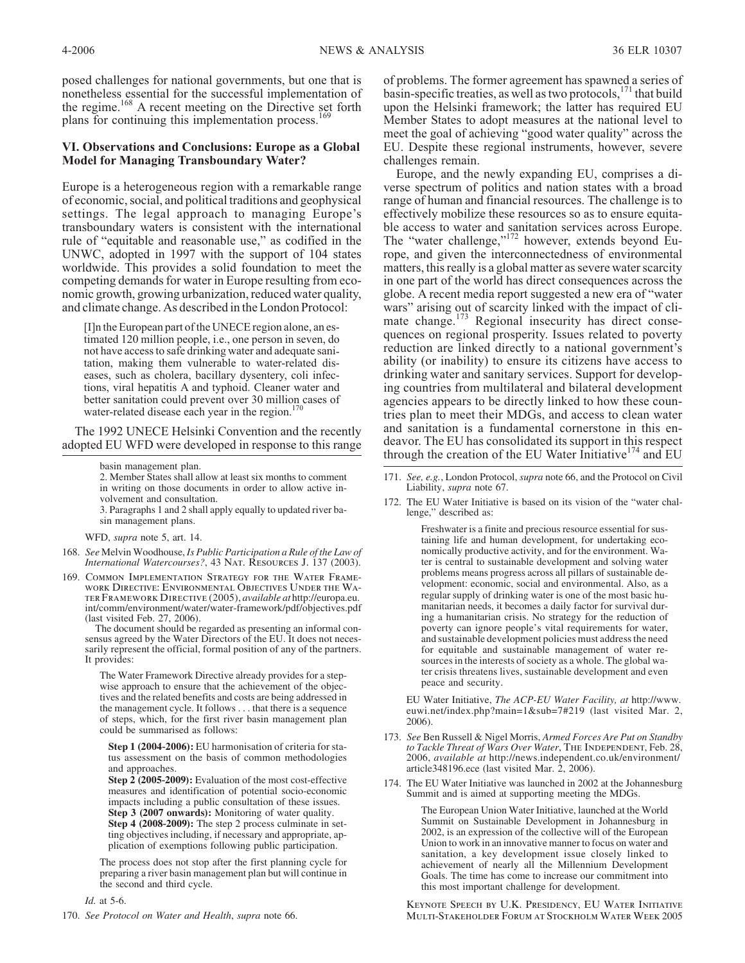posed challenges for national governments, but one that is nonetheless essential for the successful implementation of the regime.<sup>168</sup> A recent meeting on the Directive set forth plans for continuing this implementation process.<sup>16</sup>

## **VI. Observations and Conclusions: Europe as a Global Model for Managing Transboundary Water?**

Europe is a heterogeneous region with a remarkable range of economic, social, and political traditions and geophysical settings. The legal approach to managing Europe's transboundary waters is consistent with the international rule of "equitable and reasonable use," as codified in the UNWC, adopted in 1997 with the support of 104 states worldwide. This provides a solid foundation to meet the competing demands for water in Europe resulting from economic growth, growing urbanization, reduced water quality, and climate change. As described in the London Protocol:

[I]n the European part of the UNECE region alone, an estimated 120 million people, i.e., one person in seven, do not have access to safe drinking water and adequate sanitation, making them vulnerable to water-related diseases, such as cholera, bacillary dysentery, coli infections, viral hepatitis A and typhoid. Cleaner water and better sanitation could prevent over 30 million cases of water-related disease each year in the region.<sup>1</sup>

The 1992 UNECE Helsinki Convention and the recently adopted EU WFD were developed in response to this range

2. Member States shall allow at least six months to comment in writing on those documents in order to allow active involvement and consultation.

3. Paragraphs 1 and 2 shall apply equally to updated river basin management plans.

WFD, *supra* note 5, art. 14.

- 168. *See* Melvin Woodhouse, *Is Public Participation a Rule of the Law of International Watercourses?*, 43 *Nat. Resources J.* 137 (2003).
- 169. *Common Implementation Strategy for the Water Frame- work Directive: Environmental Objectives Under the Wa- ter Framework Directive* (2005), *available at* http://europa.eu. int/comm/environment/water/water-framework/pdf/objectives.pdf (last visited Feb. 27, 2006).

The document should be regarded as presenting an informal consensus agreed by the Water Directors of the EU. It does not necessarily represent the official, formal position of any of the partners. It provides:

The Water Framework Directive already provides for a stepwise approach to ensure that the achievement of the objectives and the related benefits and costs are being addressed in the management cycle. It follows... that there is a sequence of steps, which, for the first river basin management plan could be summarised as follows:

**Step 1 (2004-2006):** EU harmonisation of criteria for status assessment on the basis of common methodologies and approaches.

**Step 2 (2005-2009):** Evaluation of the most cost-effective measures and identification of potential socio-economic impacts including a public consultation of these issues. **Step 3 (2007 onwards):** Monitoring of water quality. **Step 4 (2008-2009):** The step 2 process culminate in setting objectives including, if necessary and appropriate, application of exemptions following public participation.

The process does not stop after the first planning cycle for preparing a river basin management plan but will continue in the second and third cycle.

*Id.* at 5-6.

170. *See Protocol on Water and Health*, *supra* note 66.

of problems. The former agreement has spawned a series of basin-specific treaties, as well as two protocols, $171$  that build upon the Helsinki framework; the latter has required EU Member States to adopt measures at the national level to meet the goal of achieving "good water quality" across the EU. Despite these regional instruments, however, severe challenges remain.

Europe, and the newly expanding EU, comprises a diverse spectrum of politics and nation states with a broad range of human and financial resources. The challenge is to effectively mobilize these resources so as to ensure equitable access to water and sanitation services across Europe. The "water challenge,"<sup>172</sup> however, extends beyond Europe, and given the interconnectedness of environmental matters, this really is a global matter as severe water scarcity in one part of the world has direct consequences across the globe. A recent media report suggested a new era of "water wars" arising out of scarcity linked with the impact of climate change.<sup>173</sup> Regional insecurity has direct consequences on regional prosperity. Issues related to poverty reduction are linked directly to a national government's ability (or inability) to ensure its citizens have access to drinking water and sanitary services. Support for developing countries from multilateral and bilateral development agencies appears to be directly linked to how these countries plan to meet their MDGs, and access to clean water and sanitation is a fundamental cornerstone in this endeavor. The EU has consolidated its support in this respect through the creation of the EU Water Initiative<sup>174</sup> and EU

- 171. *See, e.g.*, London Protocol, *supra* note 66, and the Protocol on Civil Liability, *supra* note 67.
- 172. The EU Water Initiative is based on its vision of the "water challenge," described as:

Freshwater is a finite and precious resource essential for sustaining life and human development, for undertaking economically productive activity, and for the environment. Water is central to sustainable development and solving water problems means progress across all pillars of sustainable development: economic, social and environmental. Also, as a regular supply of drinking water is one of the most basic humanitarian needs, it becomes a daily factor for survival during a humanitarian crisis. No strategy for the reduction of poverty can ignore people's vital requirements for water, and sustainable development policies must address the need for equitable and sustainable management of water resources in the interests of society as a whole. The global water crisis threatens lives, sustainable development and even peace and security.

EU Water Initiative, *The ACP-EU Water Facility, at* http://www. euwi.net/index.php?main=1&sub=7#219 (last visited Mar. 2, 2006).

- 173. *See* Ben Russell & Nigel Morris, *Armed Forces Are Put on Standby to Tackle Threat of Wars Over Water*, *The Independent*, Feb. 28, 2006, *available at* http://news.independent.co.uk/environment/ article348196.ece (last visited Mar. 2, 2006).
- 174. The EU Water Initiative was launched in 2002 at the Johannesburg Summit and is aimed at supporting meeting the MDGs.

The European Union Water Initiative, launched at the World Summit on Sustainable Development in Johannesburg in 2002, is an expression of the collective will of the European Union to work in an innovative manner to focus on water and sanitation, a key development issue closely linked to achievement of nearly all the Millennium Development Goals. The time has come to increase our commitment into this most important challenge for development.

*Keynote Speech by U.K. Presidency, EU Water Initiative Multi-Stakeholder Forum at Stockholm Water Week* 2005

basin management plan.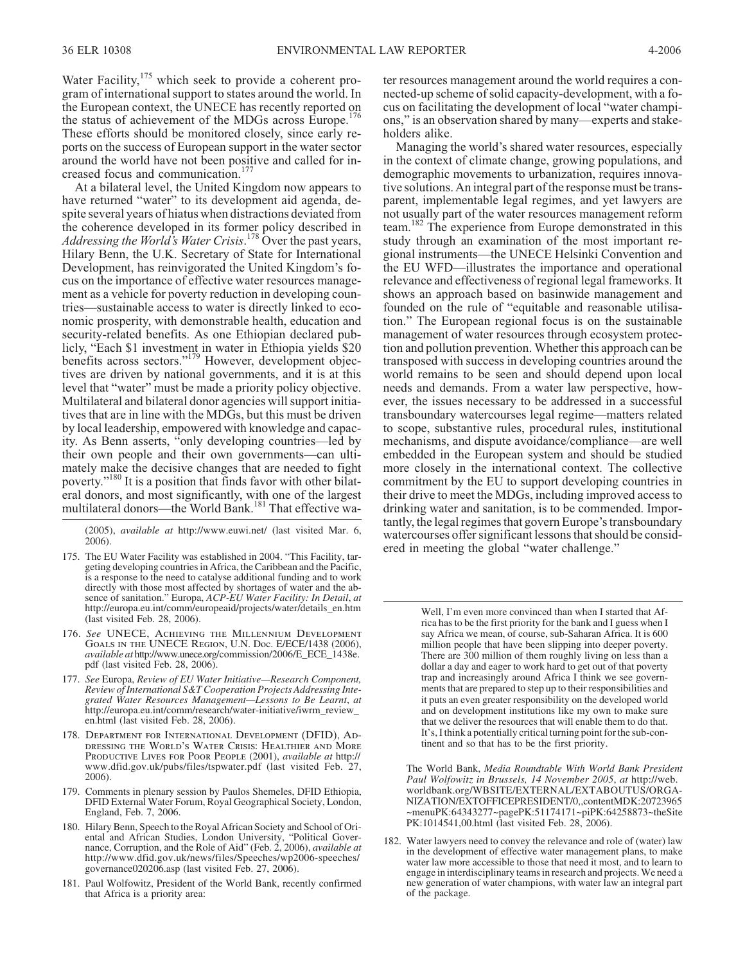Water Facility, $175$  which seek to provide a coherent program of international support to states around the world. In the European context, the UNECE has recently reported on the status of achievement of the MDGs across Europe.<sup>176</sup> These efforts should be monitored closely, since early reports on the success of European support in the water sector around the world have not been positive and called for increased focus and communication.<sup>177</sup>

At a bilateral level, the United Kingdom now appears to have returned "water" to its development aid agenda, despite several years of hiatus when distractions deviated from the coherence developed in its former policy described in *Addressing the World's Water Crisis*. <sup>178</sup> Over the past years, Hilary Benn, the U.K. Secretary of State for International Development, has reinvigorated the United Kingdom's focus on the importance of effective water resources management as a vehicle for poverty reduction in developing countries—sustainable access to water is directly linked to economic prosperity, with demonstrable health, education and security-related benefits. As one Ethiopian declared publicly, "Each \$1 investment in water in Ethiopia yields \$20 benefits across sectors."<sup>179</sup> However, development objectives are driven by national governments, and it is at this level that "water" must be made a priority policy objective. Multilateral and bilateral donor agencies will support initiatives that are in line with the MDGs, but this must be driven by local leadership, empowered with knowledge and capacity. As Benn asserts, "only developing countries—led by their own people and their own governments—can ultimately make the decisive changes that are needed to fight poverty."<sup>180</sup> It is a position that finds favor with other bilateral donors, and most significantly, with one of the largest multilateral donors—the World Bank.<sup>181</sup> That effective wa-

(2005), *available at* http://www.euwi.net/ (last visited Mar. 6, 2006).

- 175. The EU Water Facility was established in 2004. "This Facility, tar- geting developing countries in Africa, the Caribbean and the Pacific, is a response to the need to catalyse additional funding and to work directly with those most affected by shortages of water and the ab- sence of sanitation." Europa, *ACP-EU Water Facility: In Detail*, *at* http://europa.eu.int/comm/europeaid/projects/water/details\_en.htm (last visited Feb. 28, 2006).
- 176. *See UNECE, Achieving the Millennium Development Goals in the UNECE Region*, U.N. Doc. E/ECE/1438 (2006), *available at* http://www.unece.org/commission/2006/E\_ECE\_1438e. pdf (last visited Feb. 28, 2006).
- 177. *See* Europa, *Review of EU Water Initiative—Research Component, Review of International S&T Cooperation Projects Addressing Inte- grated Water Resources Management—Lessons to Be Learnt*, *at* http://europa.eu.int/comm/research/water-initiative/iwrm\_review\_ en.html (last visited Feb. 28, 2006).
- 178. *Department for International Development (DFID), Addressing the World's Water Crisis: Healthier and More Productive Lives for Poor People* (2001), *available at* http:// www.dfid.gov.uk/pubs/files/tspwater.pdf (last visited Feb. 27, 2006).
- 179. Comments in plenary session by Paulos Shemeles, DFID Ethiopia, DFID External Water Forum, Royal Geographical Society, London, England, Feb. 7, 2006.
- 180. Hilary Benn, Speech to the Royal African Society and School of Oriental and African Studies, London University, "Political Governance, Corruption, and the Role of Aid" (Feb. 2, 2006), *available at* http://www.dfid.gov.uk/news/files/Speeches/wp2006-speeches/ governance020206.asp (last visited Feb. 27, 2006).
- 181. Paul Wolfowitz, President of the World Bank, recently confirmed that Africa is a priority area:

ter resources management around the world requires a connected-up scheme of solid capacity-development, with a focus on facilitating the development of local "water champions," is an observation shared by many—experts and stakeholders alike.

Managing the world's shared water resources, especially in the context of climate change, growing populations, and demographic movements to urbanization, requires innovative solutions. An integral part of the response must be transparent, implementable legal regimes, and yet lawyers are not usually part of the water resources management reform team.<sup>182</sup> The experience from Europe demonstrated in this study through an examination of the most important regional instruments—the UNECE Helsinki Convention and the EU WFD—illustrates the importance and operational relevance and effectiveness of regional legal frameworks. It shows an approach based on basinwide management and founded on the rule of "equitable and reasonable utilisation." The European regional focus is on the sustainable management of water resources through ecosystem protection and pollution prevention. Whether this approach can be transposed with success in developing countries around the world remains to be seen and should depend upon local needs and demands. From a water law perspective, however, the issues necessary to be addressed in a successful transboundary watercourses legal regime—matters related to scope, substantive rules, procedural rules, institutional mechanisms, and dispute avoidance/compliance—are well embedded in the European system and should be studied more closely in the international context. The collective commitment by the EU to support developing countries in their drive to meet the MDGs, including improved access to drinking water and sanitation, is to be commended. Importantly, the legal regimes that govern Europe's transboundary watercourses offer significant lessons that should be considered in meeting the global "water challenge."

> Well, I'm even more convinced than when I started that Africa has to be the first priority for the bank and I guess when I say Africa we mean, of course, sub-Saharan Africa. It is 600 million people that have been slipping into deeper poverty. There are 300 million of them roughly living on less than a dollar a day and eager to work hard to get out of that poverty trap and increasingly around Africa I think we see governments that are prepared to step up to their responsibilities and it puts an even greater responsibility on the developed world and on development institutions like my own to make sure that we deliver the resources that will enable them to do that. It's, I think a potentially critical turning point for the sub-continent and so that has to be the first priority.

The World Bank, *Media Roundtable With World Bank President Paul Wolfowitz in Brussels, 14 November 2005*, *at* http://web. worldbank.org/WBSITE/EXTERNAL/EXTABOUTUS/ORGA-NIZATION/EXTOFFICEPRESIDENT/0,,contentMDK:20723965 ~menuPK:64343277~pagePK:51174171~piPK:64258873~theSite PK:1014541,00.html (last visited Feb. 28, 2006).

182. Water lawyers need to convey the relevance and role of (water) law in the development of effective water management plans, to make water law more accessible to those that need it most, and to learn to engage in interdisciplinary teams in research and projects.We need a new generation of water champions, with water law an integral part of the package.